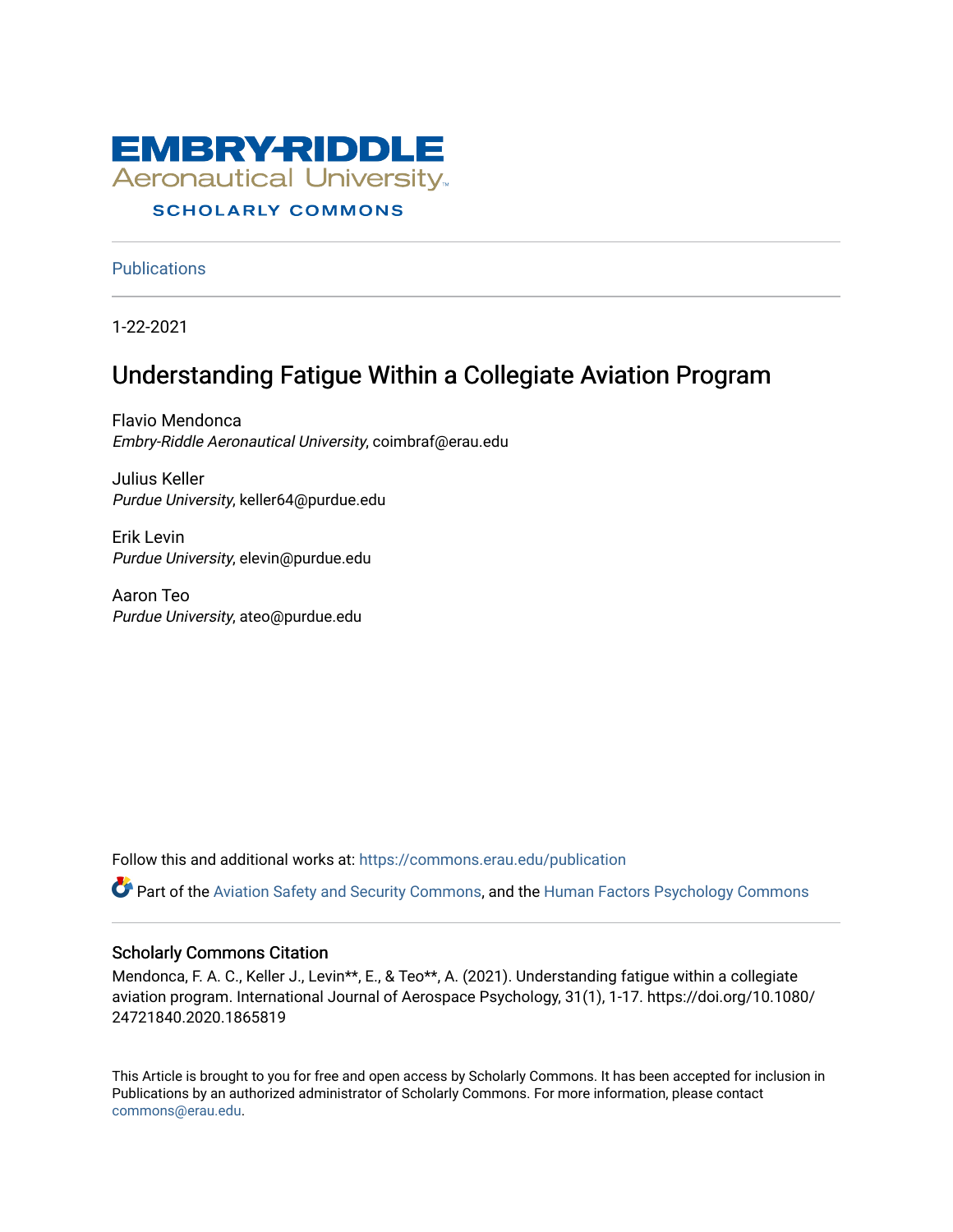

### **SCHOLARLY COMMONS**

**Publications** 

1-22-2021

# Understanding Fatigue Within a Collegiate Aviation Program

Flavio Mendonca Embry-Riddle Aeronautical University, coimbraf@erau.edu

Julius Keller Purdue University, keller64@purdue.edu

Erik Levin Purdue University, elevin@purdue.edu

Aaron Teo Purdue University, ateo@purdue.edu

Follow this and additional works at: [https://commons.erau.edu/publication](https://commons.erau.edu/publication?utm_source=commons.erau.edu%2Fpublication%2F1709&utm_medium=PDF&utm_campaign=PDFCoverPages) 

Part of the [Aviation Safety and Security Commons,](http://network.bepress.com/hgg/discipline/1320?utm_source=commons.erau.edu%2Fpublication%2F1709&utm_medium=PDF&utm_campaign=PDFCoverPages) and the [Human Factors Psychology Commons](http://network.bepress.com/hgg/discipline/1412?utm_source=commons.erau.edu%2Fpublication%2F1709&utm_medium=PDF&utm_campaign=PDFCoverPages) 

#### Scholarly Commons Citation

Mendonca, F. A. C., Keller J., Levin\*\*, E., & Teo\*\*, A. (2021). Understanding fatigue within a collegiate aviation program. International Journal of Aerospace Psychology, 31(1), 1-17. https://doi.org/10.1080/ 24721840.2020.1865819

This Article is brought to you for free and open access by Scholarly Commons. It has been accepted for inclusion in Publications by an authorized administrator of Scholarly Commons. For more information, please contact [commons@erau.edu](mailto:commons@erau.edu).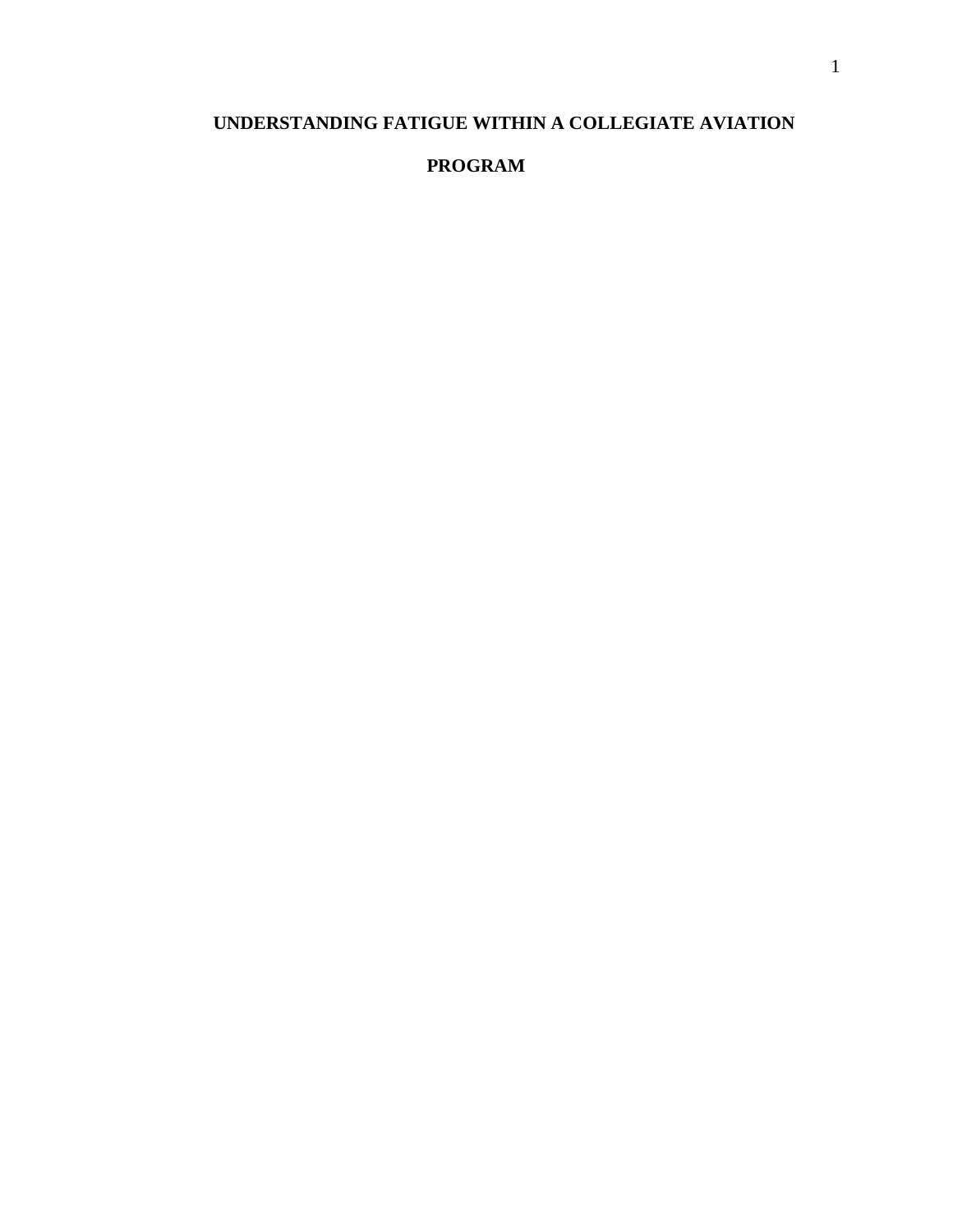## **UNDERSTANDING FATIGUE WITHIN A COLLEGIATE AVIATION**

## **PROGRAM**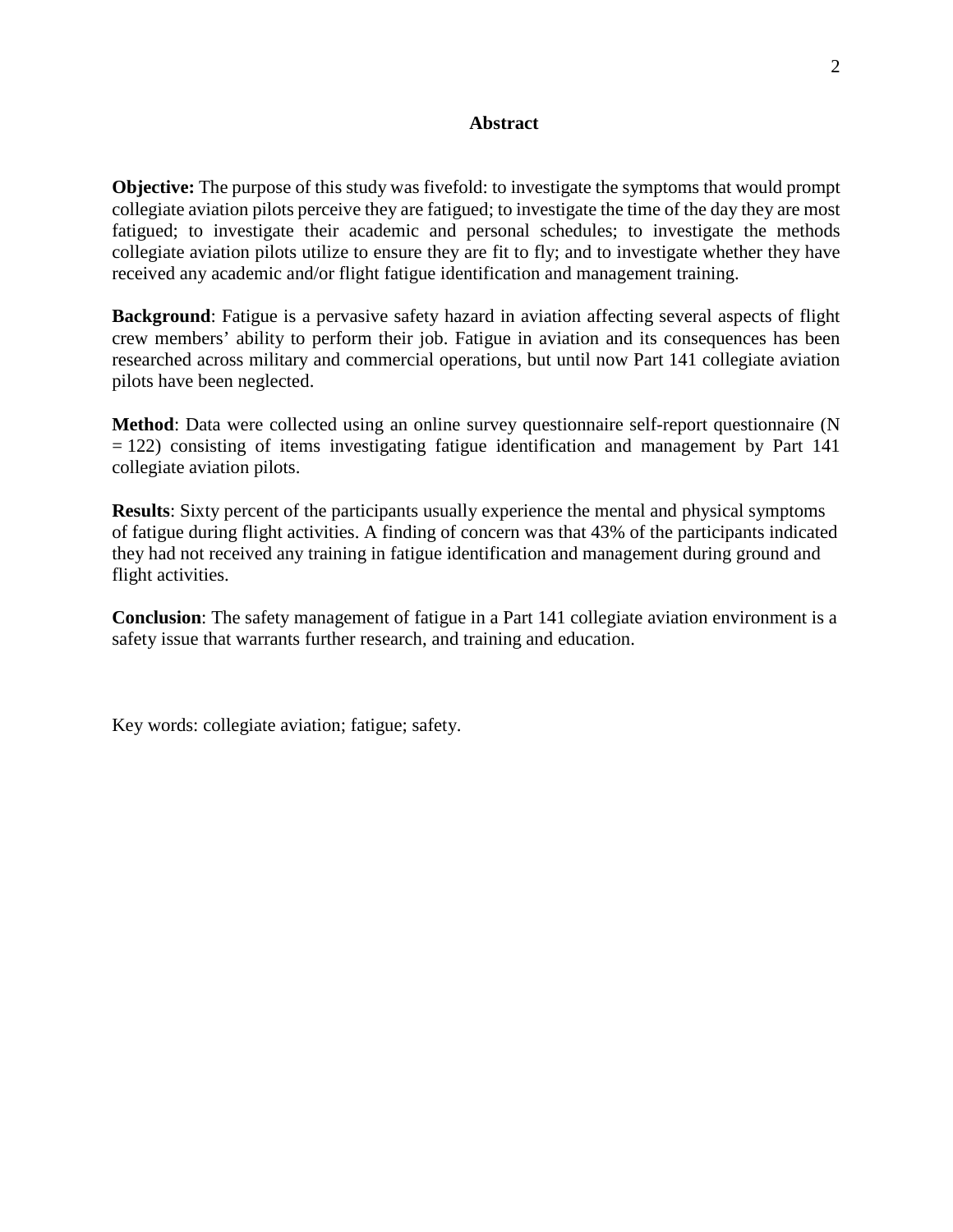#### **Abstract**

**Objective:** The purpose of this study was fivefold: to investigate the symptoms that would prompt collegiate aviation pilots perceive they are fatigued; to investigate the time of the day they are most fatigued; to investigate their academic and personal schedules; to investigate the methods collegiate aviation pilots utilize to ensure they are fit to fly; and to investigate whether they have received any academic and/or flight fatigue identification and management training.

**Background**: Fatigue is a pervasive safety hazard in aviation affecting several aspects of flight crew members' ability to perform their job. Fatigue in aviation and its consequences has been researched across military and commercial operations, but until now Part 141 collegiate aviation pilots have been neglected.

**Method**: Data were collected using an online survey questionnaire self-report questionnaire (N  $= 122$ ) consisting of items investigating fatigue identification and management by Part 141 collegiate aviation pilots.

**Results**: Sixty percent of the participants usually experience the mental and physical symptoms of fatigue during flight activities. A finding of concern was that 43% of the participants indicated they had not received any training in fatigue identification and management during ground and flight activities.

**Conclusion**: The safety management of fatigue in a Part 141 collegiate aviation environment is a safety issue that warrants further research, and training and education.

Key words: collegiate aviation; fatigue; safety.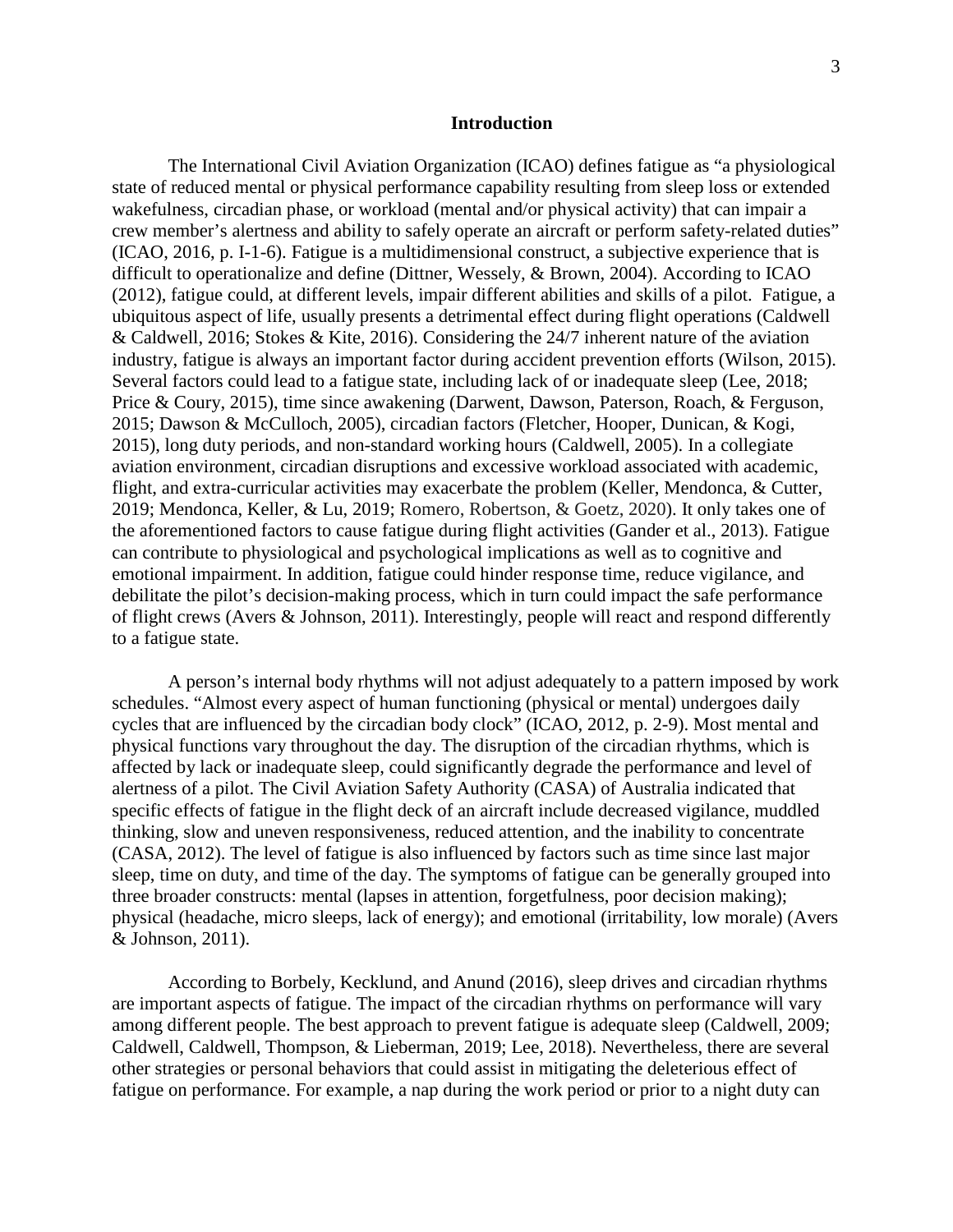#### **Introduction**

The International Civil Aviation Organization (ICAO) defines fatigue as "a physiological state of reduced mental or physical performance capability resulting from sleep loss or extended wakefulness, circadian phase, or workload (mental and/or physical activity) that can impair a crew member's alertness and ability to safely operate an aircraft or perform safety-related duties" (ICAO, 2016, p. I-1-6). Fatigue is a multidimensional construct, a subjective experience that is difficult to operationalize and define (Dittner, Wessely, & Brown, 2004). According to ICAO (2012), fatigue could, at different levels, impair different abilities and skills of a pilot. Fatigue, a ubiquitous aspect of life, usually presents a detrimental effect during flight operations (Caldwell & Caldwell, 2016; Stokes & Kite, 2016). Considering the 24/7 inherent nature of the aviation industry, fatigue is always an important factor during accident prevention efforts (Wilson, 2015). Several factors could lead to a fatigue state, including lack of or inadequate sleep (Lee, 2018; Price & Coury, 2015), time since awakening (Darwent, Dawson, Paterson, Roach, & Ferguson, 2015; Dawson & McCulloch, 2005), circadian factors (Fletcher, Hooper, Dunican, & Kogi, 2015), long duty periods, and non-standard working hours (Caldwell, 2005). In a collegiate aviation environment, circadian disruptions and excessive workload associated with academic, flight, and extra-curricular activities may exacerbate the problem (Keller, Mendonca, & Cutter, 2019; Mendonca, Keller, & Lu, 2019; Romero, Robertson, & Goetz, 2020). It only takes one of the aforementioned factors to cause fatigue during flight activities (Gander et al., 2013). Fatigue can contribute to physiological and psychological implications as well as to cognitive and emotional impairment. In addition, fatigue could hinder response time, reduce vigilance, and debilitate the pilot's decision-making process, which in turn could impact the safe performance of flight crews (Avers & Johnson, 2011). Interestingly, people will react and respond differently to a fatigue state.

A person's internal body rhythms will not adjust adequately to a pattern imposed by work schedules. "Almost every aspect of human functioning (physical or mental) undergoes daily cycles that are influenced by the circadian body clock" (ICAO, 2012, p. 2-9). Most mental and physical functions vary throughout the day. The disruption of the circadian rhythms, which is affected by lack or inadequate sleep, could significantly degrade the performance and level of alertness of a pilot. The Civil Aviation Safety Authority (CASA) of Australia indicated that specific effects of fatigue in the flight deck of an aircraft include decreased vigilance, muddled thinking, slow and uneven responsiveness, reduced attention, and the inability to concentrate (CASA, 2012). The level of fatigue is also influenced by factors such as time since last major sleep, time on duty, and time of the day. The symptoms of fatigue can be generally grouped into three broader constructs: mental (lapses in attention, forgetfulness, poor decision making); physical (headache, micro sleeps, lack of energy); and emotional (irritability, low morale) (Avers & Johnson, 2011).

According to Borbely, Kecklund, and Anund (2016), sleep drives and circadian rhythms are important aspects of fatigue. The impact of the circadian rhythms on performance will vary among different people. The best approach to prevent fatigue is adequate sleep (Caldwell, 2009; Caldwell, Caldwell, Thompson, & Lieberman, 2019; Lee, 2018). Nevertheless, there are several other strategies or personal behaviors that could assist in mitigating the deleterious effect of fatigue on performance. For example, a nap during the work period or prior to a night duty can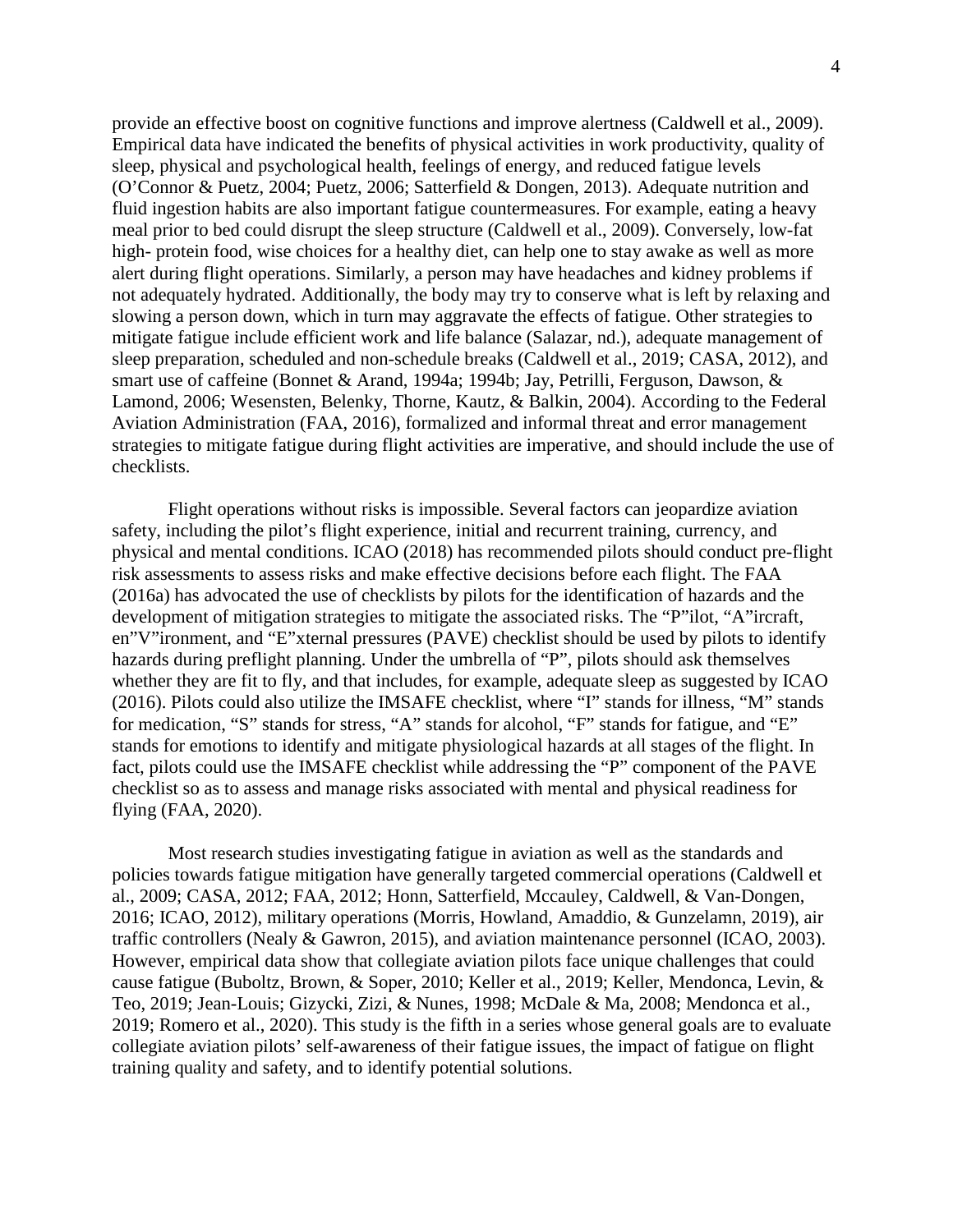provide an effective boost on cognitive functions and improve alertness (Caldwell et al., 2009). Empirical data have indicated the benefits of physical activities in work productivity, quality of sleep, physical and psychological health, feelings of energy, and reduced fatigue levels (O'Connor & Puetz, 2004; Puetz, 2006; Satterfield & Dongen, 2013). Adequate nutrition and fluid ingestion habits are also important fatigue countermeasures. For example, eating a heavy meal prior to bed could disrupt the sleep structure (Caldwell et al., 2009). Conversely, low-fat high- protein food, wise choices for a healthy diet, can help one to stay awake as well as more alert during flight operations. Similarly, a person may have headaches and kidney problems if not adequately hydrated. Additionally, the body may try to conserve what is left by relaxing and slowing a person down, which in turn may aggravate the effects of fatigue. Other strategies to mitigate fatigue include efficient work and life balance (Salazar, nd.), adequate management of sleep preparation, scheduled and non-schedule breaks (Caldwell et al., 2019; CASA, 2012), and smart use of caffeine (Bonnet & Arand, 1994a; 1994b; Jay, Petrilli, Ferguson, Dawson, & Lamond, 2006; Wesensten, Belenky, Thorne, Kautz, & Balkin, 2004). According to the Federal Aviation Administration (FAA, 2016), formalized and informal threat and error management strategies to mitigate fatigue during flight activities are imperative, and should include the use of checklists.

Flight operations without risks is impossible. Several factors can jeopardize aviation safety, including the pilot's flight experience, initial and recurrent training, currency, and physical and mental conditions. ICAO (2018) has recommended pilots should conduct pre-flight risk assessments to assess risks and make effective decisions before each flight. The FAA (2016a) has advocated the use of checklists by pilots for the identification of hazards and the development of mitigation strategies to mitigate the associated risks. The "P"ilot, "A"ircraft, en"V"ironment, and "E"xternal pressures (PAVE) checklist should be used by pilots to identify hazards during preflight planning. Under the umbrella of "P", pilots should ask themselves whether they are fit to fly, and that includes, for example, adequate sleep as suggested by ICAO (2016). Pilots could also utilize the IMSAFE checklist, where "I" stands for illness, "M" stands for medication, "S" stands for stress, "A" stands for alcohol, "F" stands for fatigue, and "E" stands for emotions to identify and mitigate physiological hazards at all stages of the flight. In fact, pilots could use the IMSAFE checklist while addressing the "P" component of the PAVE checklist so as to assess and manage risks associated with mental and physical readiness for flying (FAA, 2020).

Most research studies investigating fatigue in aviation as well as the standards and policies towards fatigue mitigation have generally targeted commercial operations (Caldwell et al., 2009; CASA, 2012; FAA, 2012; Honn, Satterfield, Mccauley, Caldwell, & Van-Dongen, 2016; ICAO, 2012), military operations (Morris, Howland, Amaddio, & Gunzelamn, 2019), air traffic controllers (Nealy & Gawron, 2015), and aviation maintenance personnel (ICAO, 2003). However, empirical data show that collegiate aviation pilots face unique challenges that could cause fatigue (Buboltz, Brown, & Soper, 2010; Keller et al., 2019; Keller, Mendonca, Levin, & Teo, 2019; Jean-Louis; Gizycki, Zizi, & Nunes, 1998; McDale & Ma, 2008; Mendonca et al., 2019; Romero et al., 2020). This study is the fifth in a series whose general goals are to evaluate collegiate aviation pilots' self-awareness of their fatigue issues, the impact of fatigue on flight training quality and safety, and to identify potential solutions.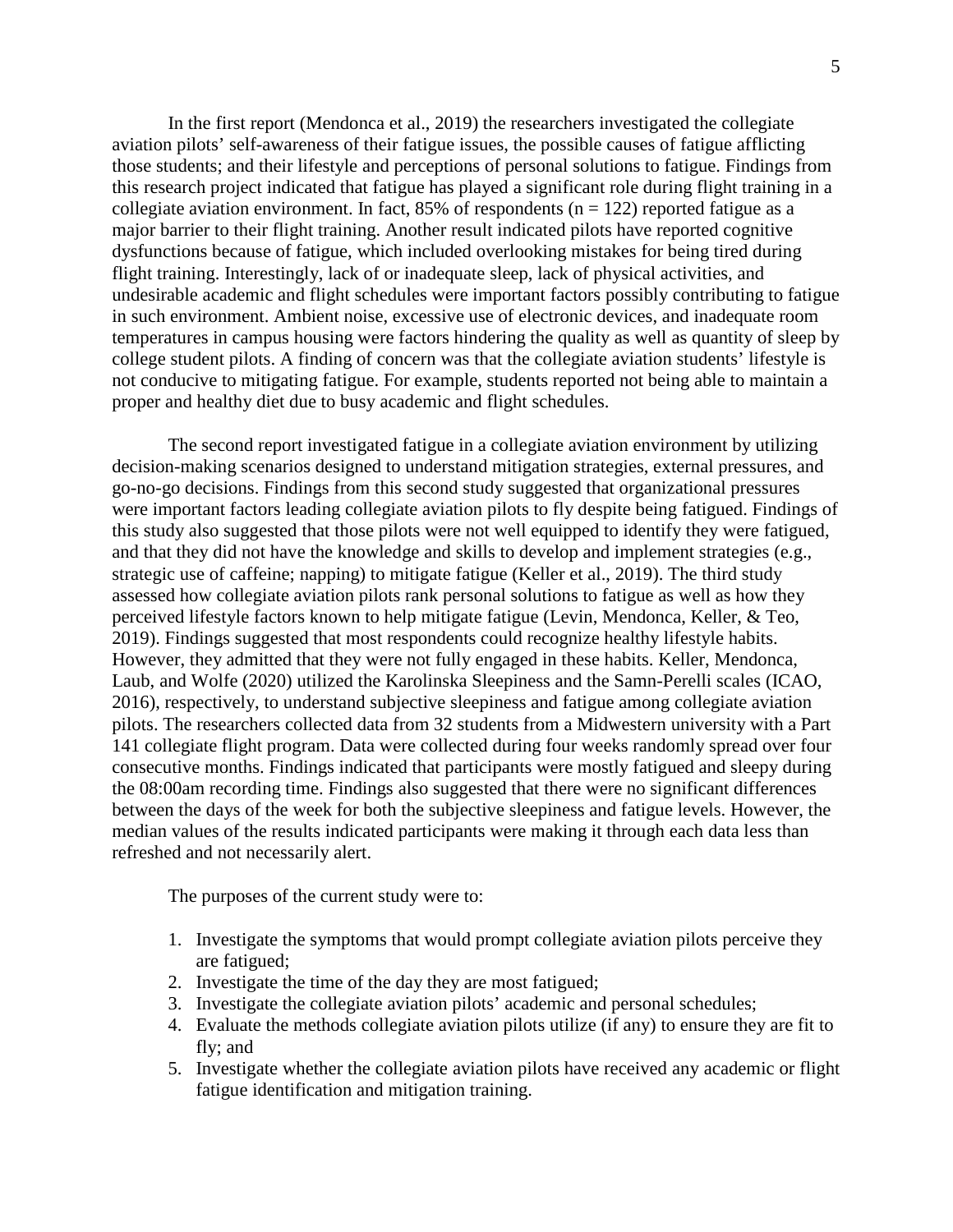In the first report (Mendonca et al., 2019) the researchers investigated the collegiate aviation pilots' self-awareness of their fatigue issues, the possible causes of fatigue afflicting those students; and their lifestyle and perceptions of personal solutions to fatigue. Findings from this research project indicated that fatigue has played a significant role during flight training in a collegiate aviation environment. In fact, 85% of respondents ( $n = 122$ ) reported fatigue as a major barrier to their flight training. Another result indicated pilots have reported cognitive dysfunctions because of fatigue, which included overlooking mistakes for being tired during flight training. Interestingly, lack of or inadequate sleep, lack of physical activities, and undesirable academic and flight schedules were important factors possibly contributing to fatigue in such environment. Ambient noise, excessive use of electronic devices, and inadequate room temperatures in campus housing were factors hindering the quality as well as quantity of sleep by college student pilots. A finding of concern was that the collegiate aviation students' lifestyle is not conducive to mitigating fatigue. For example, students reported not being able to maintain a proper and healthy diet due to busy academic and flight schedules.

The second report investigated fatigue in a collegiate aviation environment by utilizing decision-making scenarios designed to understand mitigation strategies, external pressures, and go-no-go decisions. Findings from this second study suggested that organizational pressures were important factors leading collegiate aviation pilots to fly despite being fatigued. Findings of this study also suggested that those pilots were not well equipped to identify they were fatigued, and that they did not have the knowledge and skills to develop and implement strategies (e.g., strategic use of caffeine; napping) to mitigate fatigue (Keller et al., 2019). The third study assessed how collegiate aviation pilots rank personal solutions to fatigue as well as how they perceived lifestyle factors known to help mitigate fatigue (Levin, Mendonca, Keller, & Teo, 2019). Findings suggested that most respondents could recognize healthy lifestyle habits. However, they admitted that they were not fully engaged in these habits. Keller, Mendonca, Laub, and Wolfe (2020) utilized the Karolinska Sleepiness and the Samn-Perelli scales (ICAO, 2016), respectively, to understand subjective sleepiness and fatigue among collegiate aviation pilots. The researchers collected data from 32 students from a Midwestern university with a Part 141 collegiate flight program. Data were collected during four weeks randomly spread over four consecutive months. Findings indicated that participants were mostly fatigued and sleepy during the 08:00am recording time. Findings also suggested that there were no significant differences between the days of the week for both the subjective sleepiness and fatigue levels. However, the median values of the results indicated participants were making it through each data less than refreshed and not necessarily alert.

The purposes of the current study were to:

- 1. Investigate the symptoms that would prompt collegiate aviation pilots perceive they are fatigued;
- 2. Investigate the time of the day they are most fatigued;
- 3. Investigate the collegiate aviation pilots' academic and personal schedules;
- 4. Evaluate the methods collegiate aviation pilots utilize (if any) to ensure they are fit to fly; and
- 5. Investigate whether the collegiate aviation pilots have received any academic or flight fatigue identification and mitigation training.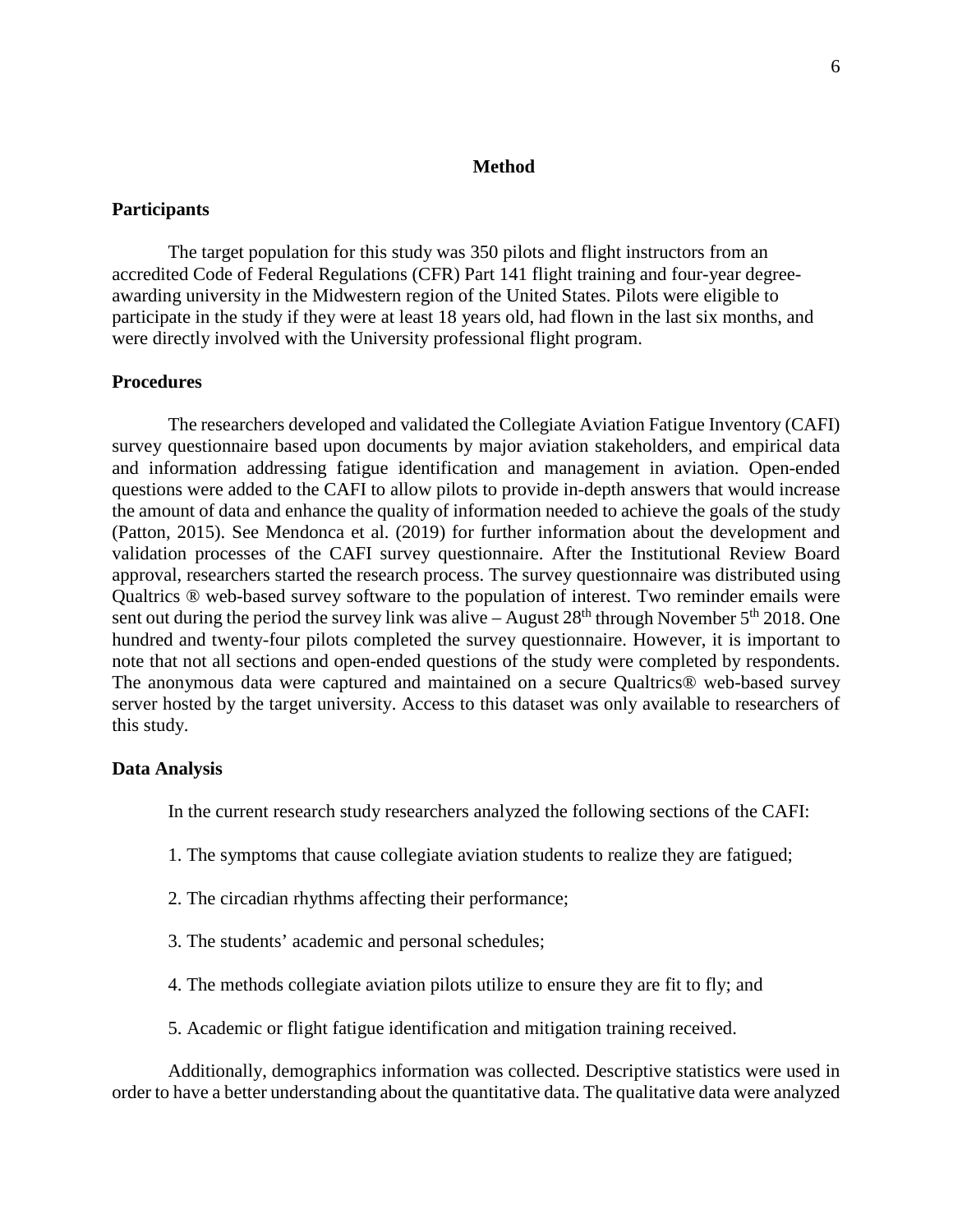#### **Method**

#### **Participants**

The target population for this study was 350 pilots and flight instructors from an accredited Code of Federal Regulations (CFR) Part 141 flight training and four-year degreeawarding university in the Midwestern region of the United States. Pilots were eligible to participate in the study if they were at least 18 years old, had flown in the last six months, and were directly involved with the University professional flight program.

#### **Procedures**

The researchers developed and validated the Collegiate Aviation Fatigue Inventory (CAFI) survey questionnaire based upon documents by major aviation stakeholders, and empirical data and information addressing fatigue identification and management in aviation. Open-ended questions were added to the CAFI to allow pilots to provide in-depth answers that would increase the amount of data and enhance the quality of information needed to achieve the goals of the study (Patton, 2015). See Mendonca et al. (2019) for further information about the development and validation processes of the CAFI survey questionnaire. After the Institutional Review Board approval, researchers started the research process. The survey questionnaire was distributed using Qualtrics ® web-based survey software to the population of interest. Two reminder emails were sent out during the period the survey link was alive – August  $28<sup>th</sup>$  through November  $5<sup>th</sup>$  2018. One hundred and twenty-four pilots completed the survey questionnaire. However, it is important to note that not all sections and open-ended questions of the study were completed by respondents. The anonymous data were captured and maintained on a secure Qualtrics® web-based survey server hosted by the target university. Access to this dataset was only available to researchers of this study.

#### **Data Analysis**

In the current research study researchers analyzed the following sections of the CAFI:

- 1. The symptoms that cause collegiate aviation students to realize they are fatigued;
- 2. The circadian rhythms affecting their performance;
- 3. The students' academic and personal schedules;
- 4. The methods collegiate aviation pilots utilize to ensure they are fit to fly; and
- 5. Academic or flight fatigue identification and mitigation training received.

Additionally, demographics information was collected. Descriptive statistics were used in order to have a better understanding about the quantitative data. The qualitative data were analyzed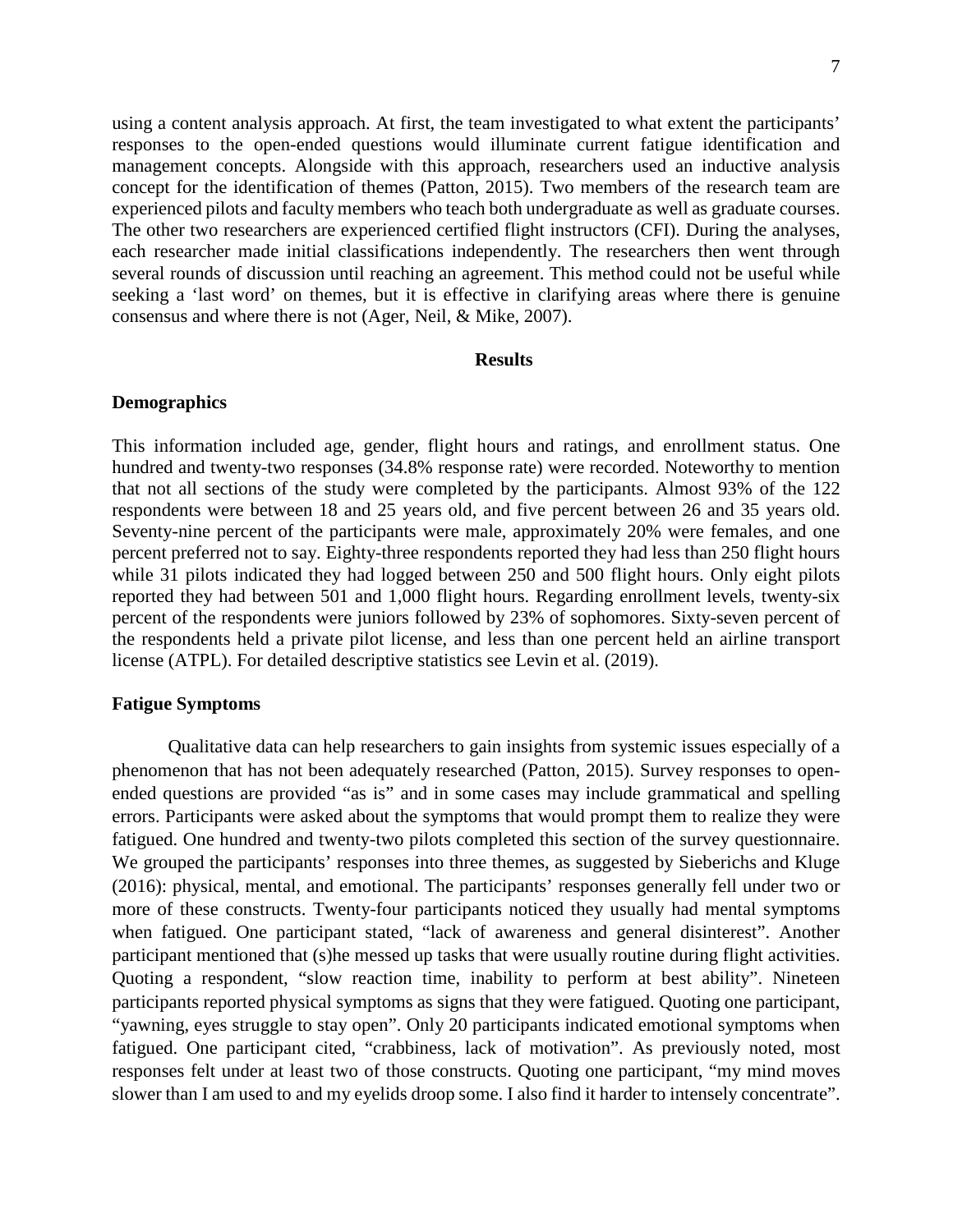using a content analysis approach. At first, the team investigated to what extent the participants' responses to the open-ended questions would illuminate current fatigue identification and management concepts. Alongside with this approach, researchers used an inductive analysis concept for the identification of themes (Patton, 2015). Two members of the research team are experienced pilots and faculty members who teach both undergraduate as well as graduate courses. The other two researchers are experienced certified flight instructors (CFI). During the analyses,

each researcher made initial classifications independently. The researchers then went through several rounds of discussion until reaching an agreement. This method could not be useful while seeking a 'last word' on themes, but it is effective in clarifying areas where there is genuine consensus and where there is not (Ager, Neil, & Mike, 2007).

#### **Results**

#### **Demographics**

This information included age, gender, flight hours and ratings, and enrollment status. One hundred and twenty-two responses (34.8% response rate) were recorded. Noteworthy to mention that not all sections of the study were completed by the participants. Almost 93% of the 122 respondents were between 18 and 25 years old, and five percent between 26 and 35 years old. Seventy-nine percent of the participants were male, approximately 20% were females, and one percent preferred not to say. Eighty-three respondents reported they had less than 250 flight hours while 31 pilots indicated they had logged between 250 and 500 flight hours. Only eight pilots reported they had between 501 and 1,000 flight hours. Regarding enrollment levels, twenty-six percent of the respondents were juniors followed by 23% of sophomores. Sixty-seven percent of the respondents held a private pilot license, and less than one percent held an airline transport license (ATPL). For detailed descriptive statistics see Levin et al. (2019).

#### **Fatigue Symptoms**

Qualitative data can help researchers to gain insights from systemic issues especially of a phenomenon that has not been adequately researched (Patton, 2015). Survey responses to openended questions are provided "as is" and in some cases may include grammatical and spelling errors. Participants were asked about the symptoms that would prompt them to realize they were fatigued. One hundred and twenty-two pilots completed this section of the survey questionnaire. We grouped the participants' responses into three themes, as suggested by Sieberichs and Kluge (2016): physical, mental, and emotional. The participants' responses generally fell under two or more of these constructs. Twenty-four participants noticed they usually had mental symptoms when fatigued. One participant stated, "lack of awareness and general disinterest". Another participant mentioned that (s)he messed up tasks that were usually routine during flight activities. Quoting a respondent, "slow reaction time, inability to perform at best ability". Nineteen participants reported physical symptoms as signs that they were fatigued. Quoting one participant, "yawning, eyes struggle to stay open". Only 20 participants indicated emotional symptoms when fatigued. One participant cited, "crabbiness, lack of motivation". As previously noted, most responses felt under at least two of those constructs. Quoting one participant, "my mind moves slower than I am used to and my eyelids droop some. I also find it harder to intensely concentrate".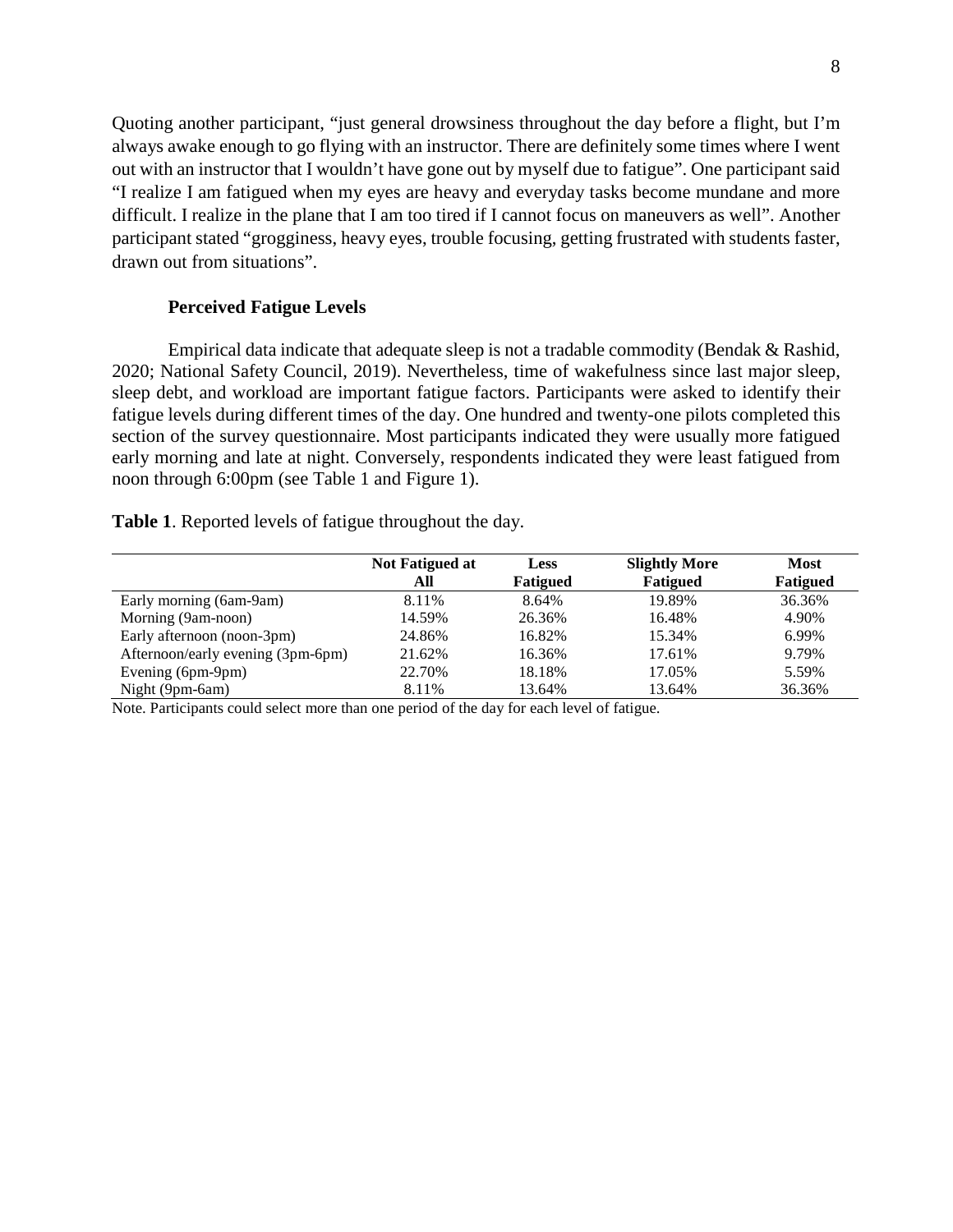Quoting another participant, "just general drowsiness throughout the day before a flight, but I'm always awake enough to go flying with an instructor. There are definitely some times where I went out with an instructor that I wouldn't have gone out by myself due to fatigue". One participant said "I realize I am fatigued when my eyes are heavy and everyday tasks become mundane and more difficult. I realize in the plane that I am too tired if I cannot focus on maneuvers as well". Another participant stated "grogginess, heavy eyes, trouble focusing, getting frustrated with students faster, drawn out from situations".

#### **Perceived Fatigue Levels**

Empirical data indicate that adequate sleep is not a tradable commodity (Bendak & Rashid, 2020; National Safety Council, 2019). Nevertheless, time of wakefulness since last major sleep, sleep debt, and workload are important fatigue factors. Participants were asked to identify their fatigue levels during different times of the day. One hundred and twenty-one pilots completed this section of the survey questionnaire. Most participants indicated they were usually more fatigued early morning and late at night. Conversely, respondents indicated they were least fatigued from noon through 6:00pm (see Table 1 and Figure 1).

**Table 1**. Reported levels of fatigue throughout the day.

|                                   | Not Fatigued at | <b>Less</b> | <b>Slightly More</b> | <b>Most</b> |  |
|-----------------------------------|-----------------|-------------|----------------------|-------------|--|
|                                   | All             | Fatigued    | <b>Fatigued</b>      | Fatigued    |  |
| Early morning (6am-9am)           | 8.11%           | 8.64%       | 19.89%               | 36.36%      |  |
| Morning (9am-noon)                | 14.59%          | 26.36%      | 16.48%               | 4.90%       |  |
| Early afternoon (noon-3pm)        | 24.86%          | 16.82%      | 15.34%               | 6.99%       |  |
| Afternoon/early evening (3pm-6pm) | 21.62%          | 16.36%      | 17.61%               | 9.79%       |  |
| Evening (6pm-9pm)                 | 22.70%          | 18.18%      | 17.05%               | 5.59%       |  |
| Night (9pm-6am)                   | 8.11%           | 13.64%      | 13.64%               | 36.36%      |  |

Note. Participants could select more than one period of the day for each level of fatigue.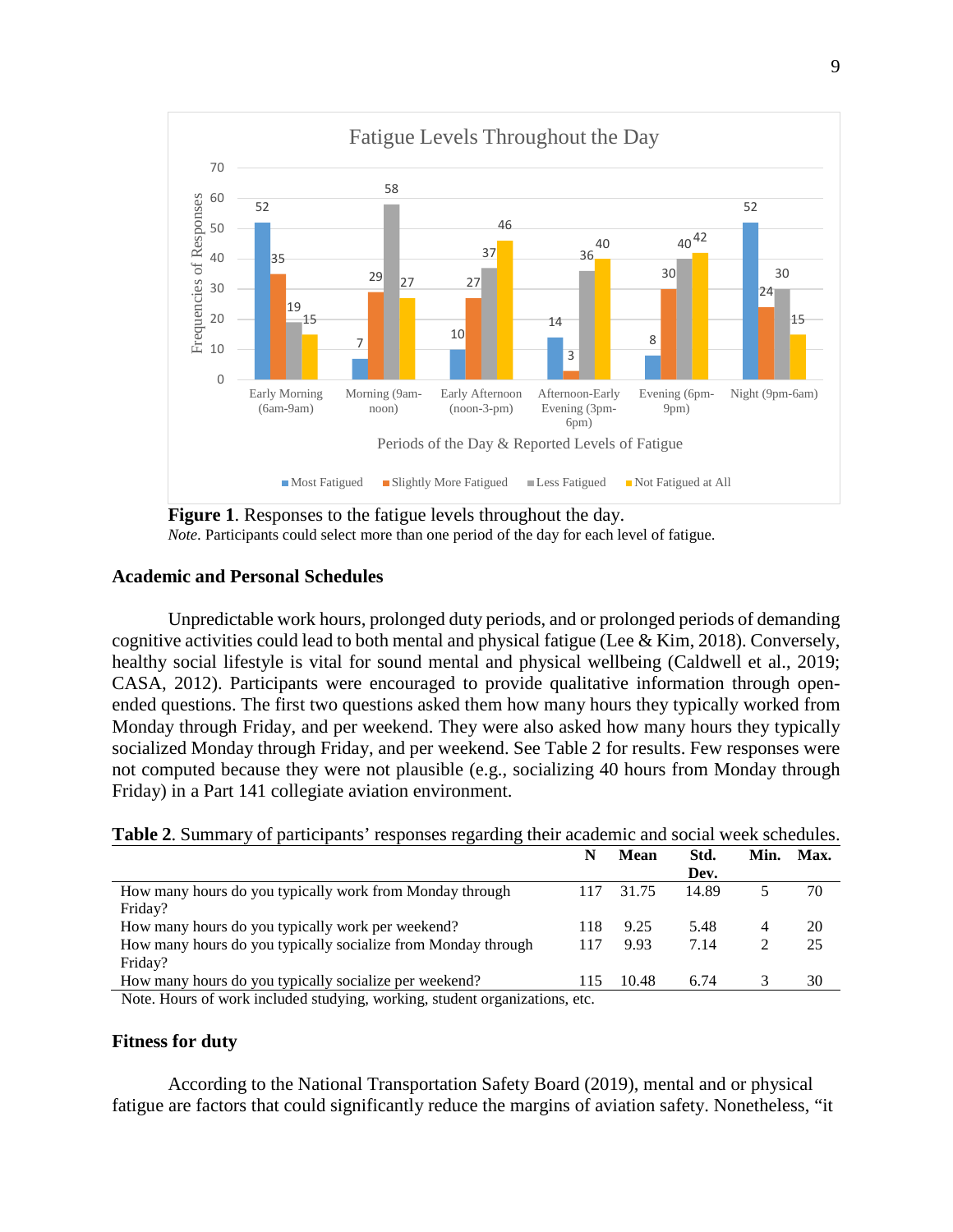

**Figure 1**. Responses to the fatigue levels throughout the day. *Note*. Participants could select more than one period of the day for each level of fatigue.

#### **Academic and Personal Schedules**

Unpredictable work hours, prolonged duty periods, and or prolonged periods of demanding cognitive activities could lead to both mental and physical fatigue (Lee & Kim, 2018). Conversely, healthy social lifestyle is vital for sound mental and physical wellbeing (Caldwell et al., 2019; CASA, 2012). Participants were encouraged to provide qualitative information through openended questions. The first two questions asked them how many hours they typically worked from Monday through Friday, and per weekend. They were also asked how many hours they typically socialized Monday through Friday, and per weekend. See Table 2 for results. Few responses were not computed because they were not plausible (e.g., socializing 40 hours from Monday through Friday) in a Part 141 collegiate aviation environment.

|                                                                                                                                                                                  |     | Mean  | Std.  | Min. | Max. |
|----------------------------------------------------------------------------------------------------------------------------------------------------------------------------------|-----|-------|-------|------|------|
|                                                                                                                                                                                  |     |       | Dev.  |      |      |
| How many hours do you typically work from Monday through                                                                                                                         | 117 | 31.75 | 14.89 |      | 70   |
| Friday?                                                                                                                                                                          |     |       |       |      |      |
| How many hours do you typically work per weekend?                                                                                                                                | 118 | 9.25  | 5.48  |      | 20   |
| How many hours do you typically socialize from Monday through                                                                                                                    | 117 | 9.93  | 7.14  |      | 25   |
| Friday?                                                                                                                                                                          |     |       |       |      |      |
| How many hours do you typically socialize per weekend?                                                                                                                           | 115 | 10.48 | 6.74  |      | 30   |
| $\mathbf{M}$ , and $\mathbf{M}$ , and $\mathbf{P}$ are started to the final started and $\mathbf{M}$ , and $\mathbf{M}$ , and $\mathbf{M}$ , and $\mathbf{M}$ , and $\mathbf{M}$ |     |       |       |      |      |

**Table 2**. Summary of participants' responses regarding their academic and social week schedules.

Note. Hours of work included studying, working, student organizations, etc.

#### **Fitness for duty**

According to the National Transportation Safety Board (2019), mental and or physical fatigue are factors that could significantly reduce the margins of aviation safety. Nonetheless, "it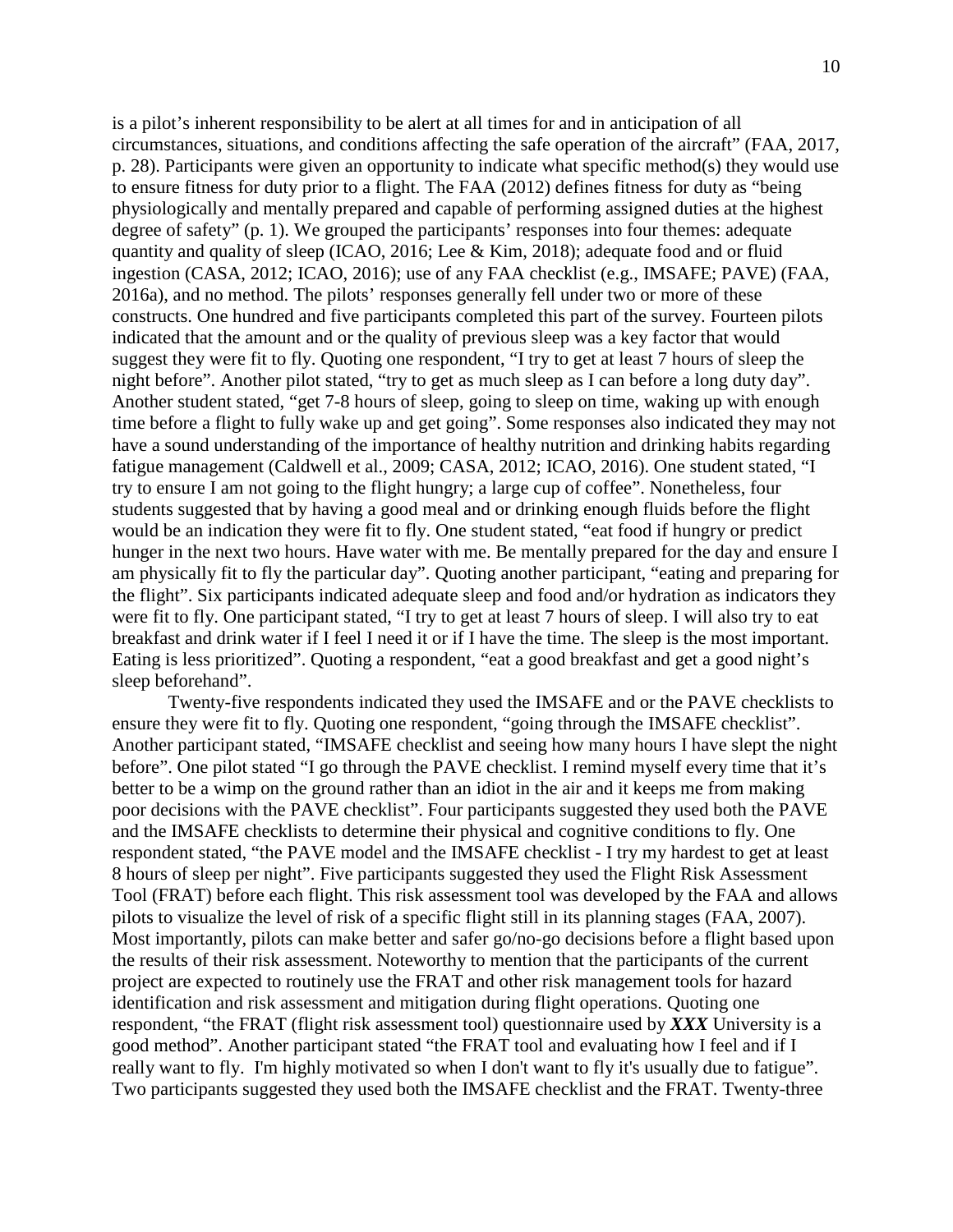is a pilot's inherent responsibility to be alert at all times for and in anticipation of all circumstances, situations, and conditions affecting the safe operation of the aircraft" (FAA, 2017, p. 28). Participants were given an opportunity to indicate what specific method(s) they would use to ensure fitness for duty prior to a flight. The FAA (2012) defines fitness for duty as "being physiologically and mentally prepared and capable of performing assigned duties at the highest degree of safety" (p. 1). We grouped the participants' responses into four themes: adequate quantity and quality of sleep (ICAO, 2016; Lee & Kim, 2018); adequate food and or fluid ingestion (CASA, 2012; ICAO, 2016); use of any FAA checklist (e.g., IMSAFE; PAVE) (FAA, 2016a), and no method. The pilots' responses generally fell under two or more of these constructs. One hundred and five participants completed this part of the survey. Fourteen pilots indicated that the amount and or the quality of previous sleep was a key factor that would suggest they were fit to fly. Quoting one respondent, "I try to get at least 7 hours of sleep the night before". Another pilot stated, "try to get as much sleep as I can before a long duty day". Another student stated, "get 7-8 hours of sleep, going to sleep on time, waking up with enough time before a flight to fully wake up and get going". Some responses also indicated they may not have a sound understanding of the importance of healthy nutrition and drinking habits regarding fatigue management (Caldwell et al., 2009; CASA, 2012; ICAO, 2016). One student stated, "I try to ensure I am not going to the flight hungry; a large cup of coffee". Nonetheless, four students suggested that by having a good meal and or drinking enough fluids before the flight would be an indication they were fit to fly. One student stated, "eat food if hungry or predict hunger in the next two hours. Have water with me. Be mentally prepared for the day and ensure I am physically fit to fly the particular day". Quoting another participant, "eating and preparing for the flight". Six participants indicated adequate sleep and food and/or hydration as indicators they were fit to fly. One participant stated, "I try to get at least 7 hours of sleep. I will also try to eat breakfast and drink water if I feel I need it or if I have the time. The sleep is the most important. Eating is less prioritized". Quoting a respondent, "eat a good breakfast and get a good night's sleep beforehand".

Twenty-five respondents indicated they used the IMSAFE and or the PAVE checklists to ensure they were fit to fly. Quoting one respondent, "going through the IMSAFE checklist". Another participant stated, "IMSAFE checklist and seeing how many hours I have slept the night before". One pilot stated "I go through the PAVE checklist. I remind myself every time that it's better to be a wimp on the ground rather than an idiot in the air and it keeps me from making poor decisions with the PAVE checklist". Four participants suggested they used both the PAVE and the IMSAFE checklists to determine their physical and cognitive conditions to fly. One respondent stated, "the PAVE model and the IMSAFE checklist - I try my hardest to get at least 8 hours of sleep per night". Five participants suggested they used the Flight Risk Assessment Tool (FRAT) before each flight. This risk assessment tool was developed by the FAA and allows pilots to visualize the level of risk of a specific flight still in its planning stages (FAA, 2007). Most importantly, pilots can make better and safer go/no-go decisions before a flight based upon the results of their risk assessment. Noteworthy to mention that the participants of the current project are expected to routinely use the FRAT and other risk management tools for hazard identification and risk assessment and mitigation during flight operations. Quoting one respondent, "the FRAT (flight risk assessment tool) questionnaire used by *XXX* University is a good method". Another participant stated "the FRAT tool and evaluating how I feel and if I really want to fly. I'm highly motivated so when I don't want to fly it's usually due to fatigue". Two participants suggested they used both the IMSAFE checklist and the FRAT. Twenty-three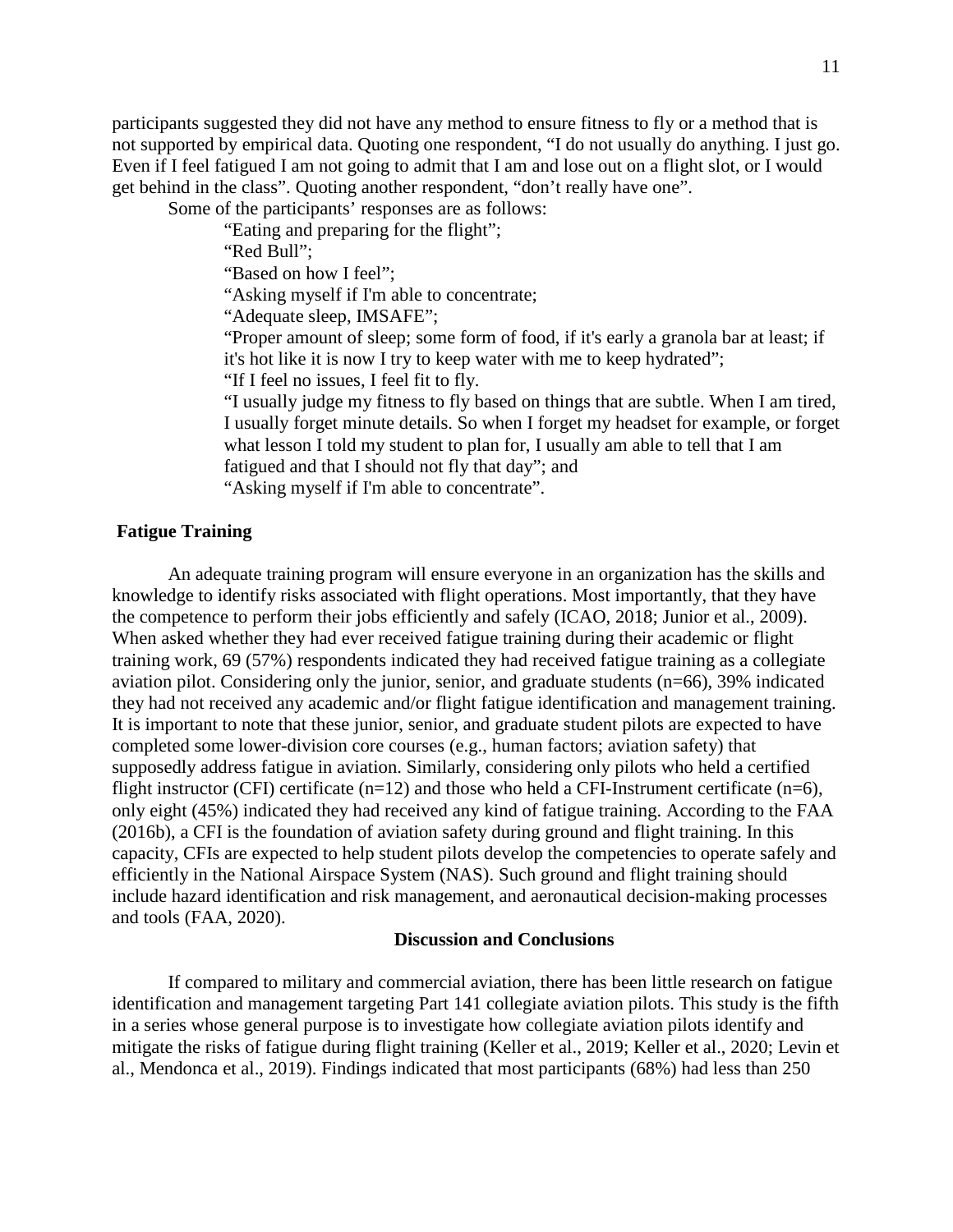participants suggested they did not have any method to ensure fitness to fly or a method that is not supported by empirical data. Quoting one respondent, "I do not usually do anything. I just go. Even if I feel fatigued I am not going to admit that I am and lose out on a flight slot, or I would get behind in the class". Quoting another respondent, "don't really have one".

Some of the participants' responses are as follows:

"Eating and preparing for the flight";

"Red Bull":

"Based on how I feel";

"Asking myself if I'm able to concentrate;

"Adequate sleep, IMSAFE";

"Proper amount of sleep; some form of food, if it's early a granola bar at least; if it's hot like it is now I try to keep water with me to keep hydrated";

"If I feel no issues, I feel fit to fly.

"I usually judge my fitness to fly based on things that are subtle. When I am tired, I usually forget minute details. So when I forget my headset for example, or forget what lesson I told my student to plan for, I usually am able to tell that I am fatigued and that I should not fly that day"; and

"Asking myself if I'm able to concentrate".

#### **Fatigue Training**

An adequate training program will ensure everyone in an organization has the skills and knowledge to identify risks associated with flight operations. Most importantly, that they have the competence to perform their jobs efficiently and safely (ICAO, 2018; Junior et al., 2009). When asked whether they had ever received fatigue training during their academic or flight training work, 69 (57%) respondents indicated they had received fatigue training as a collegiate aviation pilot. Considering only the junior, senior, and graduate students (n=66), 39% indicated they had not received any academic and/or flight fatigue identification and management training. It is important to note that these junior, senior, and graduate student pilots are expected to have completed some lower-division core courses (e.g., human factors; aviation safety) that supposedly address fatigue in aviation. Similarly, considering only pilots who held a certified flight instructor (CFI) certificate ( $n=12$ ) and those who held a CFI-Instrument certificate ( $n=6$ ), only eight (45%) indicated they had received any kind of fatigue training. According to the FAA (2016b), a CFI is the foundation of aviation safety during ground and flight training. In this capacity, CFIs are expected to help student pilots develop the competencies to operate safely and efficiently in the National Airspace System (NAS). Such ground and flight training should include hazard identification and risk management, and aeronautical decision-making processes and tools (FAA, 2020).

#### **Discussion and Conclusions**

If compared to military and commercial aviation, there has been little research on fatigue identification and management targeting Part 141 collegiate aviation pilots. This study is the fifth in a series whose general purpose is to investigate how collegiate aviation pilots identify and mitigate the risks of fatigue during flight training (Keller et al., 2019; Keller et al., 2020; Levin et al., Mendonca et al., 2019). Findings indicated that most participants (68%) had less than 250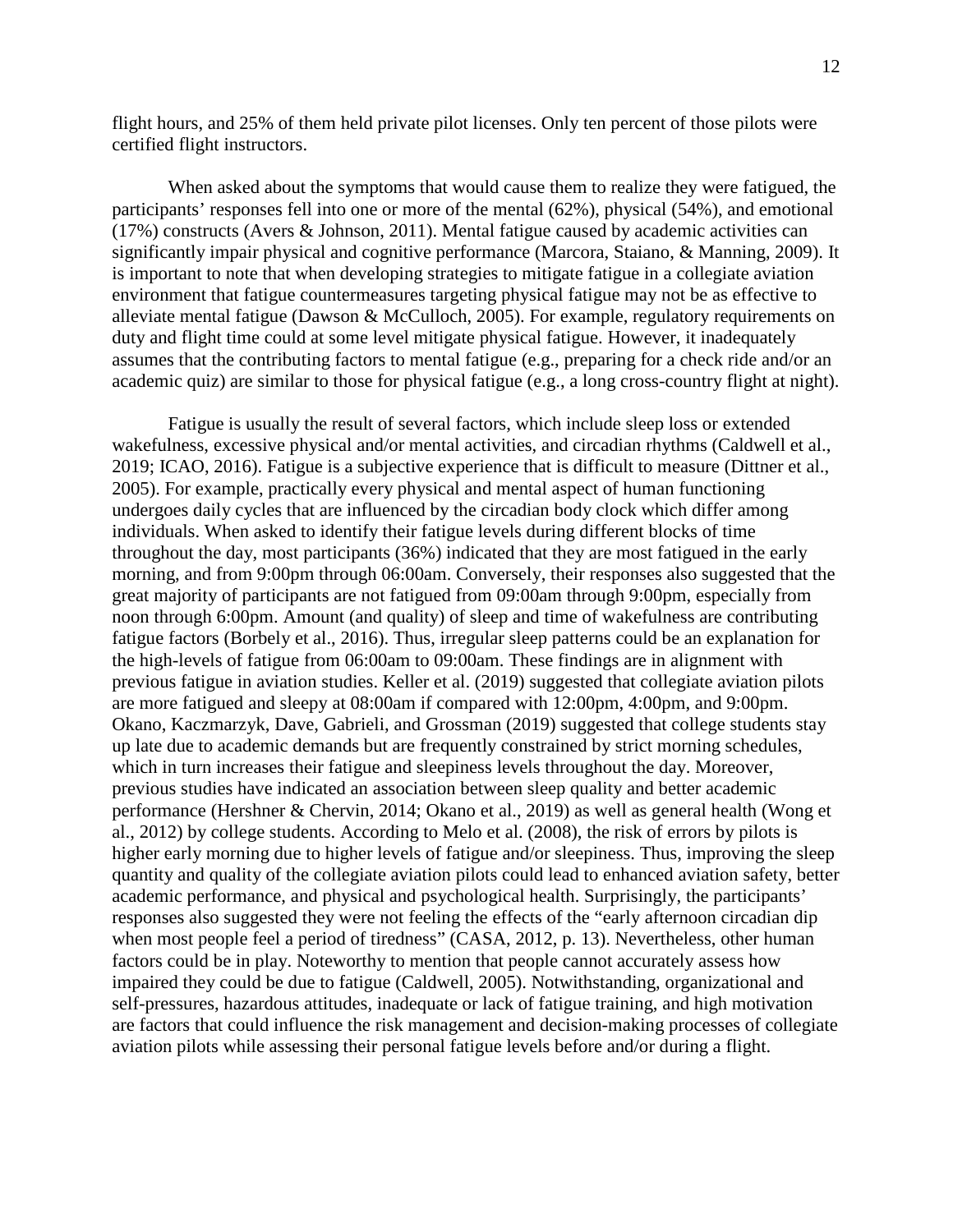flight hours, and 25% of them held private pilot licenses. Only ten percent of those pilots were certified flight instructors.

When asked about the symptoms that would cause them to realize they were fatigued, the participants' responses fell into one or more of the mental (62%), physical (54%), and emotional (17%) constructs (Avers & Johnson, 2011). Mental fatigue caused by academic activities can significantly impair physical and cognitive performance (Marcora, Staiano, & Manning, 2009). It is important to note that when developing strategies to mitigate fatigue in a collegiate aviation environment that fatigue countermeasures targeting physical fatigue may not be as effective to alleviate mental fatigue (Dawson & McCulloch, 2005). For example, regulatory requirements on duty and flight time could at some level mitigate physical fatigue. However, it inadequately assumes that the contributing factors to mental fatigue (e.g., preparing for a check ride and/or an academic quiz) are similar to those for physical fatigue (e.g., a long cross-country flight at night).

Fatigue is usually the result of several factors, which include sleep loss or extended wakefulness, excessive physical and/or mental activities, and circadian rhythms (Caldwell et al., 2019; ICAO, 2016). Fatigue is a subjective experience that is difficult to measure (Dittner et al., 2005). For example, practically every physical and mental aspect of human functioning undergoes daily cycles that are influenced by the circadian body clock which differ among individuals. When asked to identify their fatigue levels during different blocks of time throughout the day, most participants (36%) indicated that they are most fatigued in the early morning, and from 9:00pm through 06:00am. Conversely, their responses also suggested that the great majority of participants are not fatigued from 09:00am through 9:00pm, especially from noon through 6:00pm. Amount (and quality) of sleep and time of wakefulness are contributing fatigue factors (Borbely et al., 2016). Thus, irregular sleep patterns could be an explanation for the high-levels of fatigue from 06:00am to 09:00am. These findings are in alignment with previous fatigue in aviation studies. Keller et al. (2019) suggested that collegiate aviation pilots are more fatigued and sleepy at 08:00am if compared with 12:00pm, 4:00pm, and 9:00pm. Okano, Kaczmarzyk, Dave, Gabrieli, and Grossman (2019) suggested that college students stay up late due to academic demands but are frequently constrained by strict morning schedules, which in turn increases their fatigue and sleepiness levels throughout the day. Moreover, previous studies have indicated an association between sleep quality and better academic performance (Hershner & Chervin, 2014; Okano et al., 2019) as well as general health (Wong et al., 2012) by college students. According to Melo et al. (2008), the risk of errors by pilots is higher early morning due to higher levels of fatigue and/or sleepiness. Thus, improving the sleep quantity and quality of the collegiate aviation pilots could lead to enhanced aviation safety, better academic performance, and physical and psychological health. Surprisingly, the participants' responses also suggested they were not feeling the effects of the "early afternoon circadian dip when most people feel a period of tiredness" (CASA, 2012, p. 13). Nevertheless, other human factors could be in play. Noteworthy to mention that people cannot accurately assess how impaired they could be due to fatigue (Caldwell, 2005). Notwithstanding, organizational and self-pressures, hazardous attitudes, inadequate or lack of fatigue training, and high motivation are factors that could influence the risk management and decision-making processes of collegiate aviation pilots while assessing their personal fatigue levels before and/or during a flight.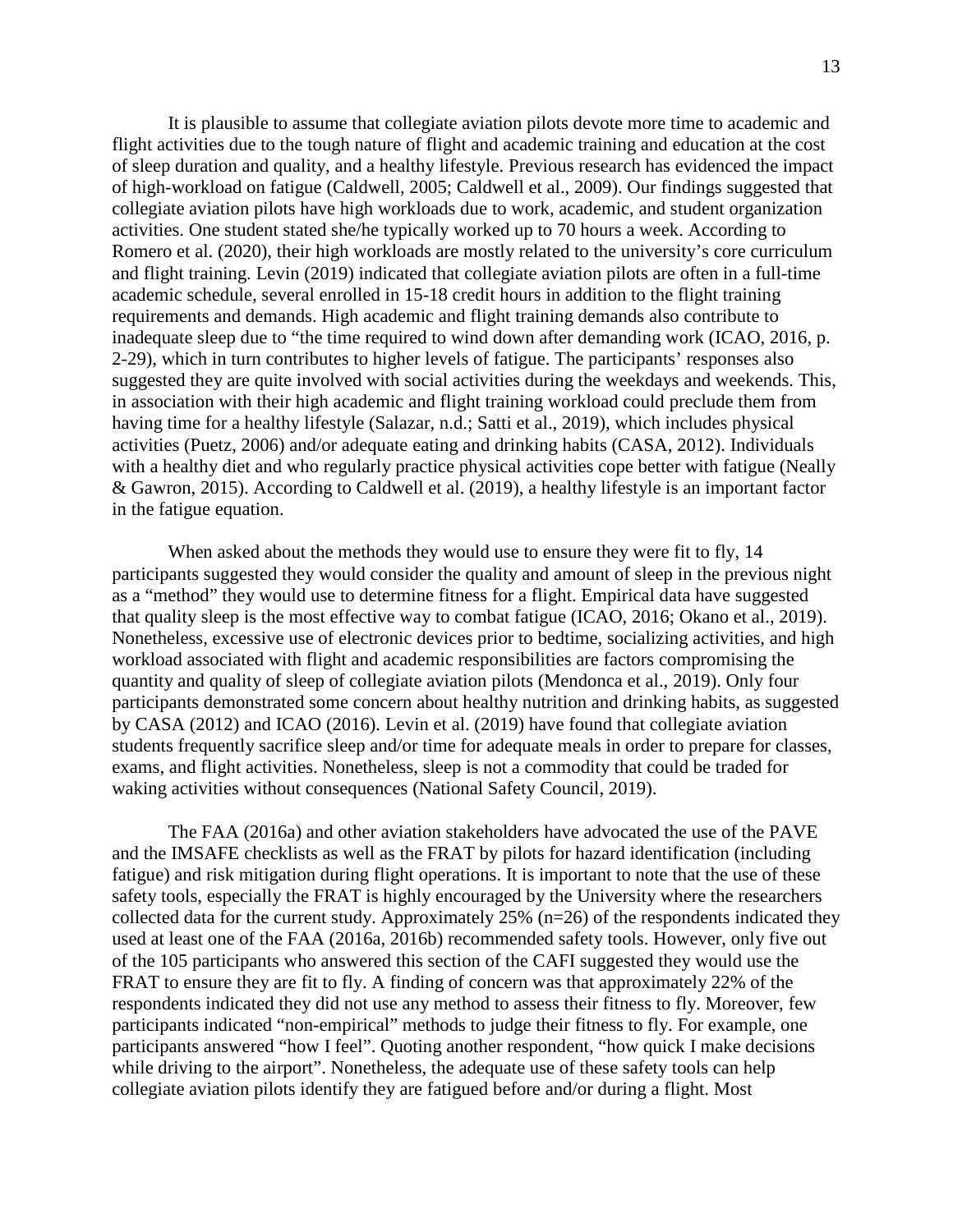It is plausible to assume that collegiate aviation pilots devote more time to academic and flight activities due to the tough nature of flight and academic training and education at the cost of sleep duration and quality, and a healthy lifestyle. Previous research has evidenced the impact of high-workload on fatigue (Caldwell, 2005; Caldwell et al., 2009). Our findings suggested that collegiate aviation pilots have high workloads due to work, academic, and student organization activities. One student stated she/he typically worked up to 70 hours a week. According to Romero et al. (2020), their high workloads are mostly related to the university's core curriculum and flight training. Levin (2019) indicated that collegiate aviation pilots are often in a full-time academic schedule, several enrolled in 15-18 credit hours in addition to the flight training requirements and demands. High academic and flight training demands also contribute to inadequate sleep due to "the time required to wind down after demanding work (ICAO, 2016, p. 2-29), which in turn contributes to higher levels of fatigue. The participants' responses also suggested they are quite involved with social activities during the weekdays and weekends. This, in association with their high academic and flight training workload could preclude them from having time for a healthy lifestyle (Salazar, n.d.; Satti et al., 2019), which includes physical activities (Puetz, 2006) and/or adequate eating and drinking habits (CASA, 2012). Individuals with a healthy diet and who regularly practice physical activities cope better with fatigue (Neally & Gawron, 2015). According to Caldwell et al. (2019), a healthy lifestyle is an important factor in the fatigue equation.

When asked about the methods they would use to ensure they were fit to fly, 14 participants suggested they would consider the quality and amount of sleep in the previous night as a "method" they would use to determine fitness for a flight. Empirical data have suggested that quality sleep is the most effective way to combat fatigue (ICAO, 2016; Okano et al., 2019). Nonetheless, excessive use of electronic devices prior to bedtime, socializing activities, and high workload associated with flight and academic responsibilities are factors compromising the quantity and quality of sleep of collegiate aviation pilots (Mendonca et al., 2019). Only four participants demonstrated some concern about healthy nutrition and drinking habits, as suggested by CASA (2012) and ICAO (2016). Levin et al. (2019) have found that collegiate aviation students frequently sacrifice sleep and/or time for adequate meals in order to prepare for classes, exams, and flight activities. Nonetheless, sleep is not a commodity that could be traded for waking activities without consequences (National Safety Council, 2019).

The FAA (2016a) and other aviation stakeholders have advocated the use of the PAVE and the IMSAFE checklists as well as the FRAT by pilots for hazard identification (including fatigue) and risk mitigation during flight operations. It is important to note that the use of these safety tools, especially the FRAT is highly encouraged by the University where the researchers collected data for the current study. Approximately 25% (n=26) of the respondents indicated they used at least one of the FAA (2016a, 2016b) recommended safety tools. However, only five out of the 105 participants who answered this section of the CAFI suggested they would use the FRAT to ensure they are fit to fly. A finding of concern was that approximately 22% of the respondents indicated they did not use any method to assess their fitness to fly. Moreover, few participants indicated "non-empirical" methods to judge their fitness to fly. For example, one participants answered "how I feel". Quoting another respondent, "how quick I make decisions while driving to the airport". Nonetheless, the adequate use of these safety tools can help collegiate aviation pilots identify they are fatigued before and/or during a flight. Most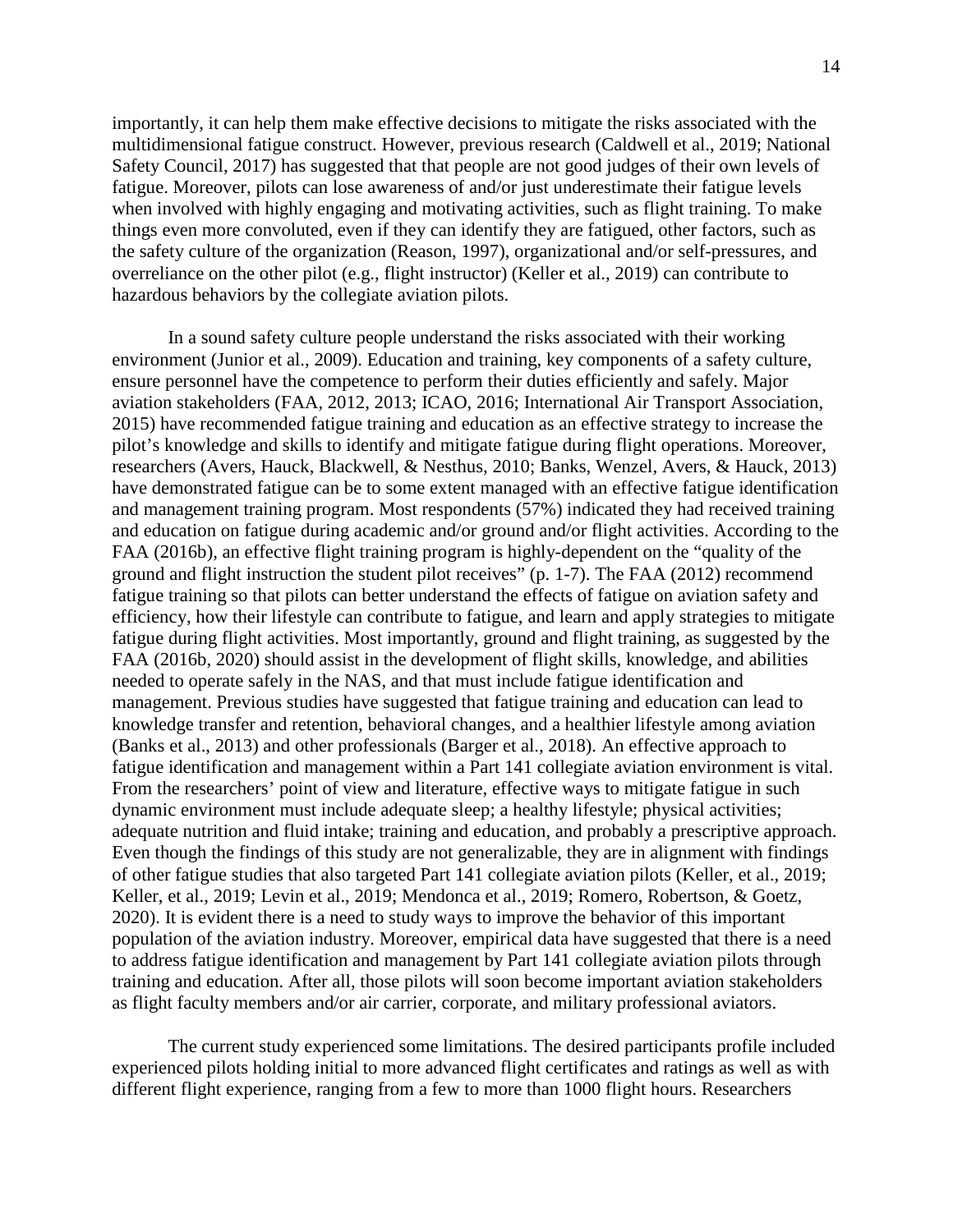importantly, it can help them make effective decisions to mitigate the risks associated with the multidimensional fatigue construct. However, previous research (Caldwell et al., 2019; National Safety Council, 2017) has suggested that that people are not good judges of their own levels of fatigue. Moreover, pilots can lose awareness of and/or just underestimate their fatigue levels when involved with highly engaging and motivating activities, such as flight training. To make things even more convoluted, even if they can identify they are fatigued, other factors, such as the safety culture of the organization (Reason, 1997), organizational and/or self-pressures, and overreliance on the other pilot (e.g., flight instructor) (Keller et al., 2019) can contribute to hazardous behaviors by the collegiate aviation pilots.

In a sound safety culture people understand the risks associated with their working environment (Junior et al., 2009). Education and training, key components of a safety culture, ensure personnel have the competence to perform their duties efficiently and safely. Major aviation stakeholders (FAA, 2012, 2013; ICAO, 2016; International Air Transport Association, 2015) have recommended fatigue training and education as an effective strategy to increase the pilot's knowledge and skills to identify and mitigate fatigue during flight operations. Moreover, researchers (Avers, Hauck, Blackwell, & Nesthus, 2010; Banks, Wenzel, Avers, & Hauck, 2013) have demonstrated fatigue can be to some extent managed with an effective fatigue identification and management training program. Most respondents (57%) indicated they had received training and education on fatigue during academic and/or ground and/or flight activities. According to the FAA (2016b), an effective flight training program is highly-dependent on the "quality of the ground and flight instruction the student pilot receives" (p. 1-7). The FAA (2012) recommend fatigue training so that pilots can better understand the effects of fatigue on aviation safety and efficiency, how their lifestyle can contribute to fatigue, and learn and apply strategies to mitigate fatigue during flight activities. Most importantly, ground and flight training, as suggested by the FAA (2016b, 2020) should assist in the development of flight skills, knowledge, and abilities needed to operate safely in the NAS, and that must include fatigue identification and management. Previous studies have suggested that fatigue training and education can lead to knowledge transfer and retention, behavioral changes, and a healthier lifestyle among aviation (Banks et al., 2013) and other professionals (Barger et al., 2018). An effective approach to fatigue identification and management within a Part 141 collegiate aviation environment is vital. From the researchers' point of view and literature, effective ways to mitigate fatigue in such dynamic environment must include adequate sleep; a healthy lifestyle; physical activities; adequate nutrition and fluid intake; training and education, and probably a prescriptive approach. Even though the findings of this study are not generalizable, they are in alignment with findings of other fatigue studies that also targeted Part 141 collegiate aviation pilots (Keller, et al., 2019; Keller, et al., 2019; Levin et al., 2019; Mendonca et al., 2019; Romero, Robertson, & Goetz, 2020). It is evident there is a need to study ways to improve the behavior of this important population of the aviation industry. Moreover, empirical data have suggested that there is a need to address fatigue identification and management by Part 141 collegiate aviation pilots through training and education. After all, those pilots will soon become important aviation stakeholders as flight faculty members and/or air carrier, corporate, and military professional aviators.

The current study experienced some limitations. The desired participants profile included experienced pilots holding initial to more advanced flight certificates and ratings as well as with different flight experience, ranging from a few to more than 1000 flight hours. Researchers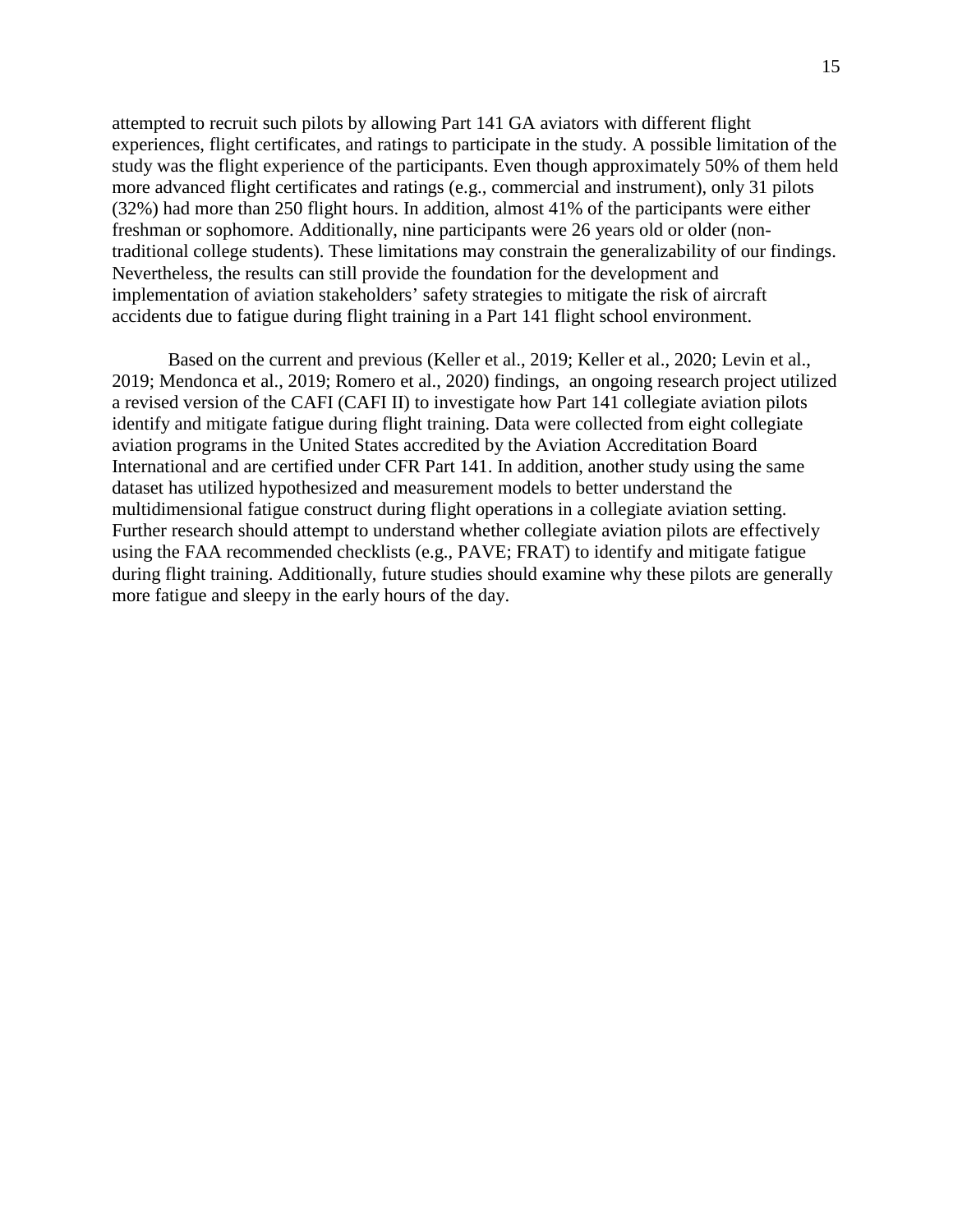attempted to recruit such pilots by allowing Part 141 GA aviators with different flight experiences, flight certificates, and ratings to participate in the study. A possible limitation of the study was the flight experience of the participants. Even though approximately 50% of them held more advanced flight certificates and ratings (e.g., commercial and instrument), only 31 pilots (32%) had more than 250 flight hours. In addition, almost 41% of the participants were either freshman or sophomore. Additionally, nine participants were 26 years old or older (nontraditional college students). These limitations may constrain the generalizability of our findings. Nevertheless, the results can still provide the foundation for the development and implementation of aviation stakeholders' safety strategies to mitigate the risk of aircraft accidents due to fatigue during flight training in a Part 141 flight school environment.

Based on the current and previous (Keller et al., 2019; Keller et al., 2020; Levin et al., 2019; Mendonca et al., 2019; Romero et al., 2020) findings, an ongoing research project utilized a revised version of the CAFI (CAFI II) to investigate how Part 141 collegiate aviation pilots identify and mitigate fatigue during flight training. Data were collected from eight collegiate aviation programs in the United States accredited by the Aviation Accreditation Board International and are certified under CFR Part 141. In addition, another study using the same dataset has utilized hypothesized and measurement models to better understand the multidimensional fatigue construct during flight operations in a collegiate aviation setting. Further research should attempt to understand whether collegiate aviation pilots are effectively using the FAA recommended checklists (e.g., PAVE; FRAT) to identify and mitigate fatigue during flight training. Additionally, future studies should examine why these pilots are generally more fatigue and sleepy in the early hours of the day.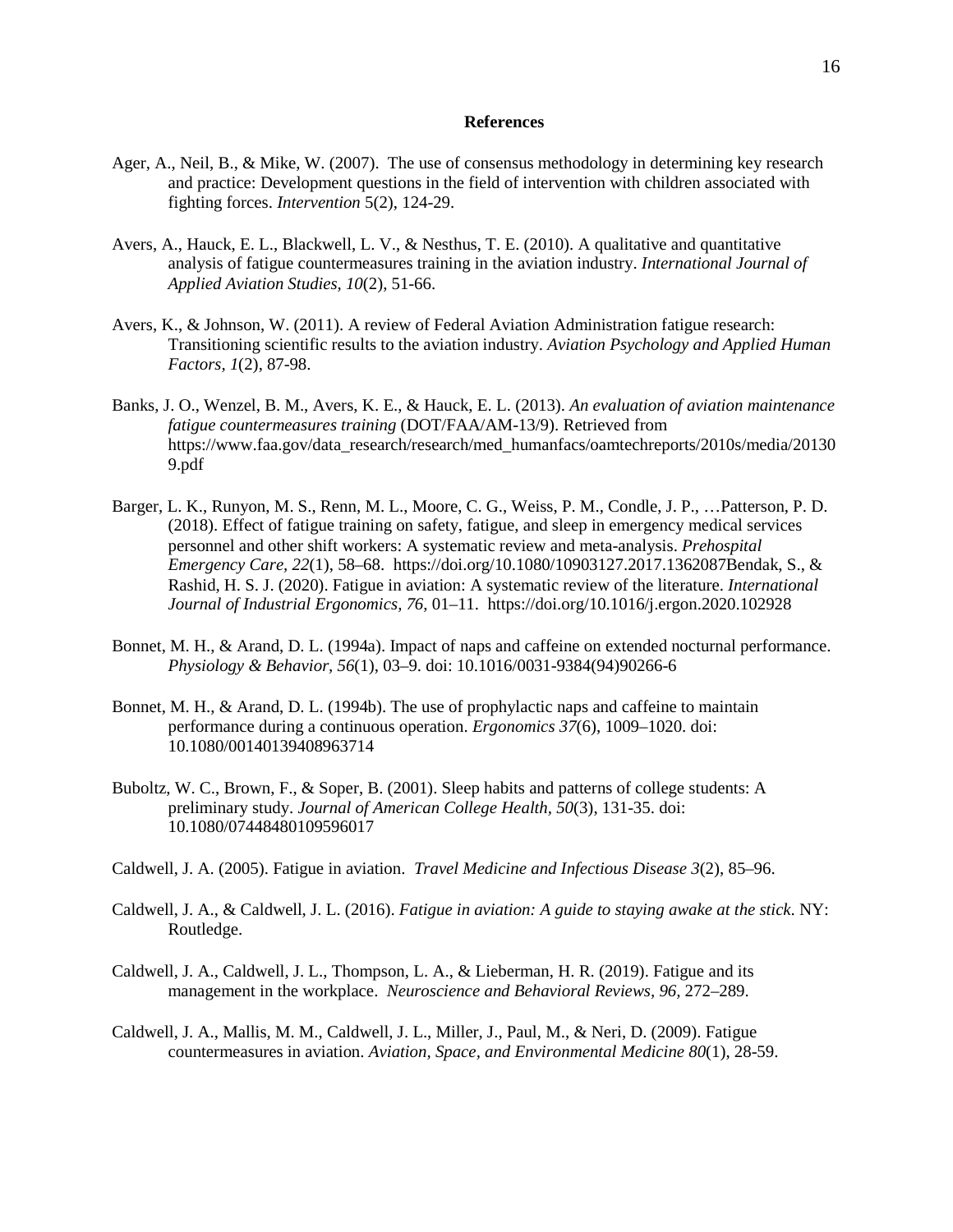#### **References**

- Ager, A., Neil, B., & Mike, W. (2007). The use of consensus methodology in determining key research and practice: Development questions in the field of intervention with children associated with fighting forces. *Intervention* 5(2), 124-29.
- Avers, A., Hauck, E. L., Blackwell, L. V., & Nesthus, T. E. (2010). A qualitative and quantitative analysis of fatigue countermeasures training in the aviation industry. *International Journal of Applied Aviation Studies, 10*(2), 51-66.
- Avers, K., & Johnson, W. (2011). A review of Federal Aviation Administration fatigue research: Transitioning scientific results to the aviation industry. *Aviation Psychology and Applied Human Factors, 1*(2), 87-98.
- Banks, J. O., Wenzel, B. M., Avers, K. E., & Hauck, E. L. (2013). *An evaluation of aviation maintenance fatigue countermeasures training* (DOT/FAA/AM-13/9). Retrieved from https://www.faa.gov/data\_research/research/med\_humanfacs/oamtechreports/2010s/media/20130 9.pdf
- Barger, L. K., Runyon, M. S., Renn, M. L., Moore, C. G., Weiss, P. M., Condle, J. P., …Patterson, P. D. (2018). Effect of fatigue training on safety, fatigue, and sleep in emergency medical services personnel and other shift workers: A systematic review and meta-analysis. *Prehospital Emergency Care, 22*(1), 58–68. https://doi.org/10.1080/10903127.2017.1362087Bendak, S., & Rashid, H. S. J. (2020). Fatigue in aviation: A systematic review of the literature. *International Journal of Industrial Ergonomics, 76*, 01–11. https://doi.org/10.1016/j.ergon.2020.102928
- Bonnet, M. H., & Arand, D. L. (1994a). Impact of naps and caffeine on extended nocturnal performance. *Physiology & Behavior, 56*(1), 03–9. doi: [10.1016/0031-9384\(94\)90266-6](https://doi.org/10.1016/0031-9384(94)90266-6)
- Bonnet, M. H., & Arand, D. L. (1994b). The use of prophylactic naps and caffeine to maintain performance during a continuous operation. *Ergonomics 37*(6), 1009–1020. doi: [10.1080/00140139408963714](https://doi.org/10.1080/00140139408963714)
- Buboltz, W. C., Brown, F., & Soper, B. (2001). Sleep habits and patterns of college students: A preliminary study. *Journal of American College Health, 50*(3), 131-35. doi: [10.1080/07448480109596017](https://doi.org/10.1080/07448480109596017)
- Caldwell, J. A. (2005). Fatigue in aviation. *Travel Medicine and Infectious Disease 3*(2), 85–96.
- Caldwell, J. A., & Caldwell, J. L. (2016). *Fatigue in aviation: A guide to staying awake at the stick*. NY: Routledge.
- Caldwell, J. A., Caldwell, J. L., Thompson, L. A., & Lieberman, H. R. (2019). Fatigue and its management in the workplace. *Neuroscience and Behavioral Reviews, 96,* 272–289.
- Caldwell, J. A., Mallis, M. M., Caldwell, J. L., Miller, J., Paul, M., & Neri, D. (2009). Fatigue countermeasures in aviation. *Aviation, Space, and Environmental Medicine 80*(1), 28-59.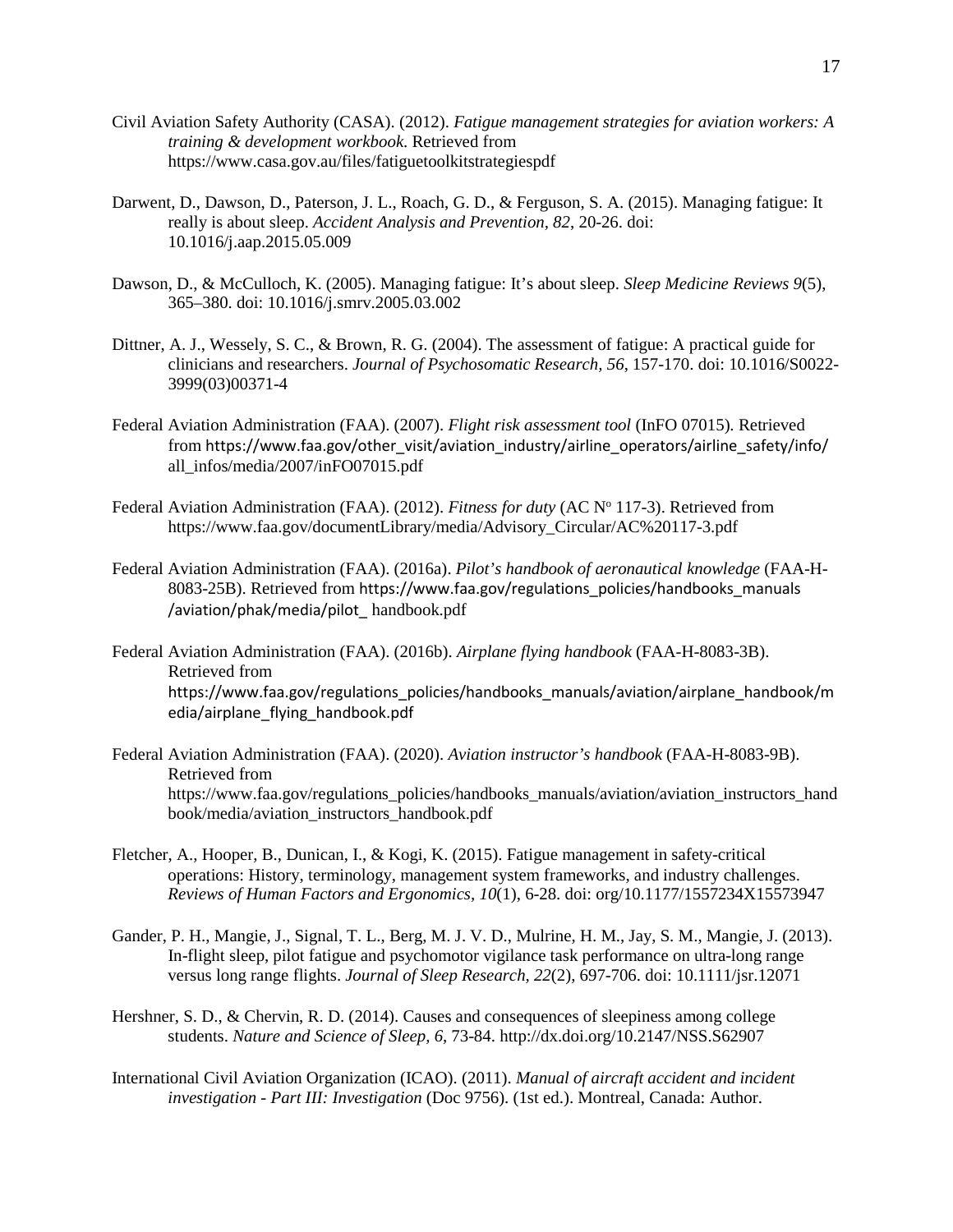- Civil Aviation Safety Authority (CASA). (2012). *Fatigue management strategies for aviation workers: A training & development workbook*. Retrieved from <https://www.casa.gov.au/files/fatiguetoolkitstrategiespdf>
- Darwent, D., Dawson, D., Paterson, J. L., Roach, G. D., & Ferguson, S. A. (2015). Managing fatigue: It really is about sleep. *Accident Analysis and Prevention, 82*, 20-26. doi: [10.1016/j.aap.2015.05.009](https://doi.org/10.1016/j.aap.2015.05.009)
- Dawson, D., & McCulloch, K. (2005). Managing fatigue: It's about sleep. *Sleep Medicine Reviews 9*(5), 365–380. doi: [10.1016/j.smrv.2005.03.002](https://doi.org/10.1016/j.smrv.2005.03.002)
- Dittner, A. J., Wessely, S. C., & Brown, R. G. (2004). The assessment of fatigue: A practical guide for clinicians and researchers. *Journal of Psychosomatic Research, 56*, 157-170. doi: [10.1016/S0022-](https://doi.org/10.1016/S0022-3999(03)00371-4) [3999\(03\)00371-4](https://doi.org/10.1016/S0022-3999(03)00371-4)
- Federal Aviation Administration (FAA). (2007). *Flight risk assessment tool* (InFO 07015)*.* Retrieved from https://www.faa.gov/other\_visit/aviation\_industry/airline\_operators/airline\_safety/info/ all\_infos/media/2007/inFO07015.pdf
- Federal Aviation Administration (FAA). (2012). *Fitness for duty* (AC N° 117-3). Retrieved from https://www.faa.gov/documentLibrary/media/Advisory\_Circular/AC%20117-3.pdf
- Federal Aviation Administration (FAA). (2016a). *Pilot's handbook of aeronautical knowledge* (FAA-H-8083-25B). Retrieved from https://www.faa.gov/regulations\_policies/handbooks\_manuals /aviation/phak/media/pilot\_ handbook.pdf
- Federal Aviation Administration (FAA). (2016b). *Airplane flying handbook* (FAA-H-8083-3B). Retrieved from https://www.faa.gov/regulations\_policies/handbooks\_manuals/aviation/airplane\_handbook/m edia/airplane\_flying\_handbook.pdf
- Federal Aviation Administration (FAA). (2020). *Aviation instructor's handbook* (FAA-H-8083-9B). Retrieved from https://www.faa.gov/regulations\_policies/handbooks\_manuals/aviation/aviation\_instructors\_hand book/media/aviation\_instructors\_handbook.pdf
- Fletcher, A., Hooper, B., Dunican, I., & Kogi, K. (2015). Fatigue management in safety-critical operations: History, terminology, management system frameworks, and industry challenges. *Reviews of Human Factors and Ergonomics, 10*(1), 6-28. [doi: org/10.1177/1557234X15573947](https://doi.org/10.1177%2F1557234X15573947)
- Gander, P. H., Mangie, J., Signal, T. L., Berg, M. J. V. D., Mulrine, H. M., Jay, S. M., Mangie, J. (2013). In-flight sleep, pilot fatigue and psychomotor vigilance task performance on ultra-long range versus long range flights. *Journal of Sleep Research, 22*(2), 697-706. doi: [10.1111/jsr.12071](https://doi.org/10.1111/jsr.12071)
- Hershner, S. D., & Chervin, R. D. (2014). Causes and consequences of sleepiness among college students. *Nature and Science of Sleep, 6*, 73-84. http://dx.doi.org/10.2147/NSS.S62907
- International Civil Aviation Organization (ICAO). (2011). *Manual of aircraft accident and incident investigation - Part III: Investigation* (Doc 9756). (1st ed.). Montreal, Canada: Author.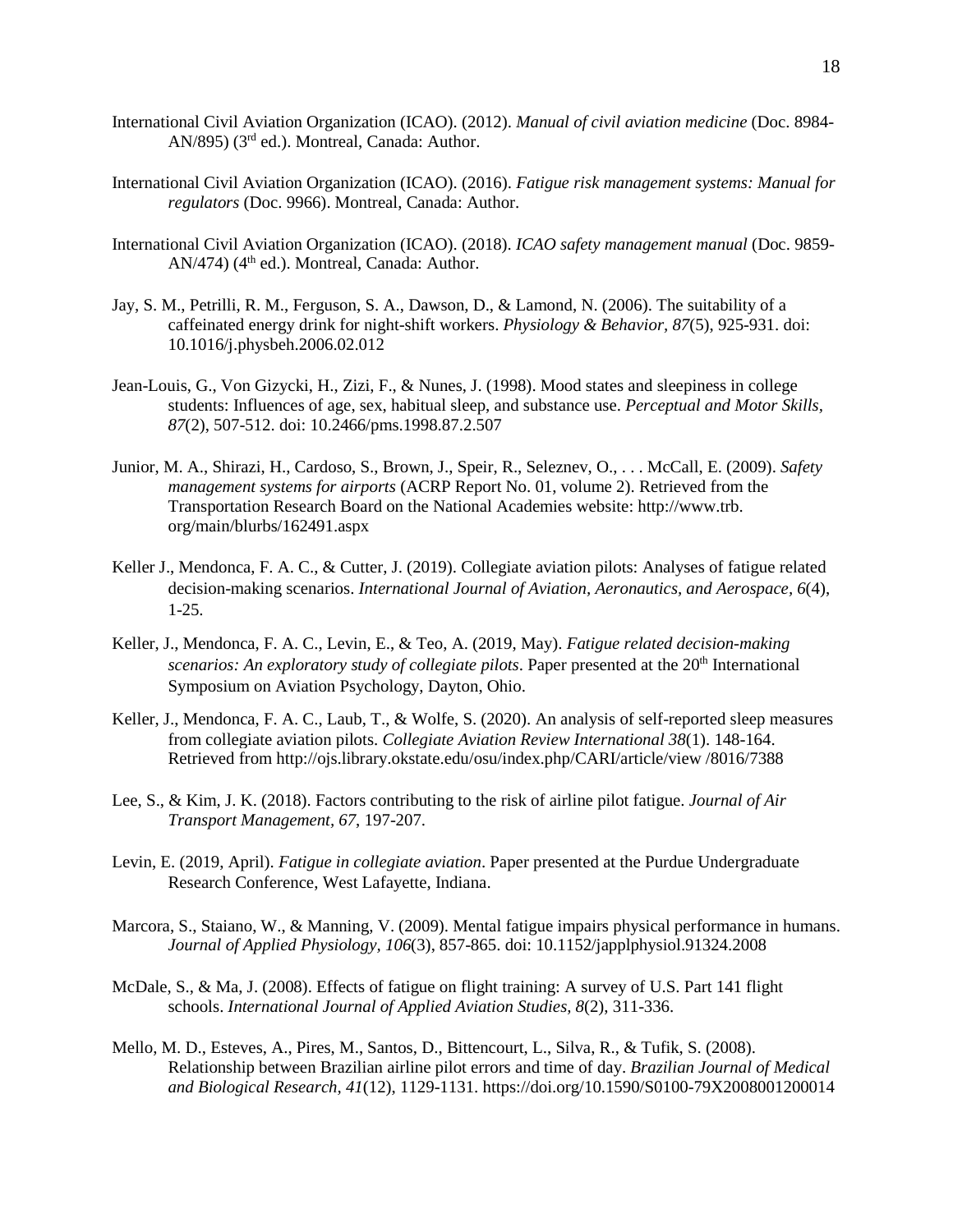- International Civil Aviation Organization (ICAO). (2012). *Manual of civil aviation medicine* (Doc. 8984- AN/895) (3rd ed.). Montreal, Canada: Author.
- International Civil Aviation Organization (ICAO). (2016). *Fatigue risk management systems: Manual for regulators* (Doc. 9966). Montreal, Canada: Author.
- International Civil Aviation Organization (ICAO). (2018). *ICAO safety management manual* (Doc. 9859- AN/474) ( $4<sup>th</sup>$  ed.). Montreal, Canada: Author.
- Jay, S. M., Petrilli, R. M., Ferguson, S. A., Dawson, D., & Lamond, N. (2006). The suitability of a caffeinated energy drink for night-shift workers. *Physiology & Behavior, 87*(5), 925-931. doi: [10.1016/j.physbeh.2006.02.012](https://doi.org/10.1016/j.physbeh.2006.02.012)
- Jean-Louis, G., Von Gizycki, H., Zizi, F., & Nunes, J. (1998). Mood states and sleepiness in college students: Influences of age, sex, habitual sleep, and substance use. *Perceptual and Motor Skills, 87*(2), 507-512. doi: [10.2466/pms.1998.87.2.507](https://doi.org/10.2466/pms.1998.87.2.507)
- Junior, M. A., Shirazi, H., Cardoso, S., Brown, J., Speir, R., Seleznev, O., . . . McCall, E. (2009). *Safety management systems for airports* (ACRP Report No. 01, volume 2). Retrieved from the Transportation Research Board on the National Academies website: [http://www.trb.](http://www.trb/) org/main/blurbs/162491.aspx
- Keller J., Mendonca, F. A. C., & Cutter, J. (2019). Collegiate aviation pilots: Analyses of fatigue related decision-making scenarios. *International Journal of Aviation, Aeronautics, and Aerospace, 6*(4), 1-25.
- Keller, J., Mendonca, F. A. C., Levin, E., & Teo, A. (2019, May). *Fatigue related decision-making scenarios: An exploratory study of collegiate pilots*. Paper presented at the 20<sup>th</sup> International Symposium on Aviation Psychology, Dayton, Ohio.
- Keller, J., Mendonca, F. A. C., Laub, T., & Wolfe, S. (2020). An analysis of self-reported sleep measures from collegiate aviation pilots. *Collegiate Aviation Review International 38*(1). 148-164. Retrieved from http://ojs.library.okstate.edu/osu/index.php/CARI/article/view /8016/7388
- Lee, S., & Kim, J. K. (2018). Factors contributing to the risk of airline pilot fatigue. *Journal of Air Transport Management, 67*, 197-207.
- Levin, E. (2019, April). *Fatigue in collegiate aviation*. Paper presented at the Purdue Undergraduate Research Conference, West Lafayette, Indiana.
- Marcora, S., Staiano, W., & Manning, V. (2009). [Mental fatigue impairs physical performance in humans.](https://purdue-primo-prod.hosted.exlibrisgroup.com/primo-explore/fulldisplay?docid=TN_proquest222178949&context=PC&vid=PURDUE&lang=en_US&search_scope=everything&adaptor=primo_central_multiple_fe&tab=default_tab&query=any,contains,Mental%20fatigue%20impairs%20physical%20performance%20in%20humans&mode=Basic) *Journal of Applied Physiology, 106*(3), 857-865. doi: [10.1152/japplphysiol.91324.2008](https://doi.org/10.1152/japplphysiol.91324.2008)
- McDale, S., & Ma, J. (2008). Effects of fatigue on flight training: A survey of U.S. Part 141 flight schools. *International Journal of Applied Aviation Studies, 8*(2), 311-336.
- Mello, M. D., Esteves, A., Pires, M., Santos, D., Bittencourt, L., Silva, R., & Tufik, S. (2008). Relationship between Brazilian airline pilot errors and time of day. *Brazilian Journal of Medical and Biological Research, 41*(12), 1129-1131. https://doi.org/10.1590/S0100-79X2008001200014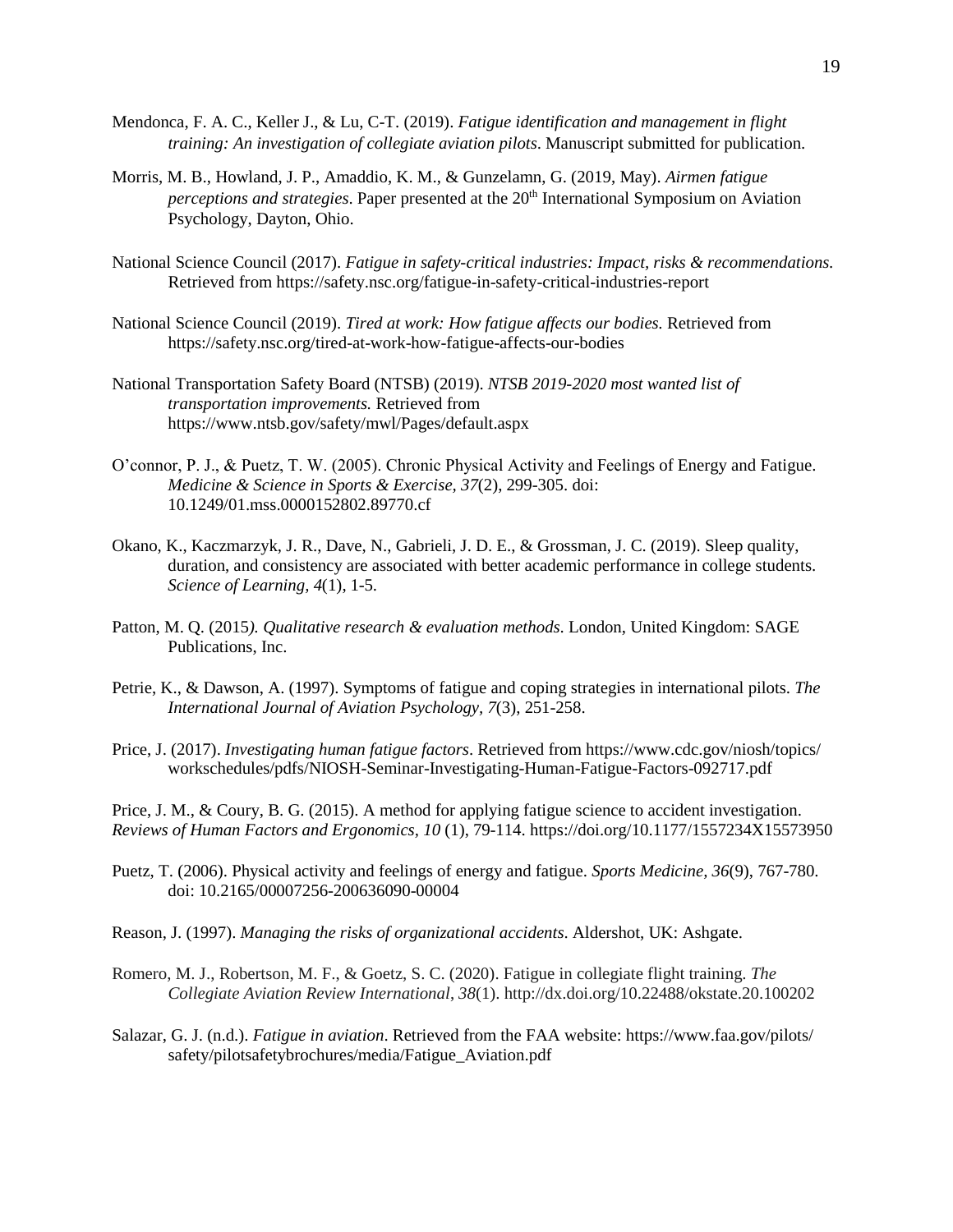- Mendonca, F. A. C., Keller J., & Lu, C-T. (2019). *Fatigue identification and management in flight training: An investigation of collegiate aviation pilots*. Manuscript submitted for publication.
- Morris, M. B., Howland, J. P., Amaddio, K. M., & Gunzelamn, G. (2019, May). *Airmen fatigue perceptions and strategies*. Paper presented at the 20<sup>th</sup> International Symposium on Aviation Psychology, Dayton, Ohio.
- National Science Council (2017). *Fatigue in safety-critical industries: Impact, risks & recommendations.*  Retrieved from https://safety.nsc.org/fatigue-in-safety-critical-industries-report
- National Science Council (2019). *Tired at work: How fatigue affects our bodies.* Retrieved from https://safety.nsc.org/tired-at-work-how-fatigue-affects-our-bodies
- National Transportation Safety Board (NTSB) (2019). *NTSB 2019-2020 most wanted list of transportation improvements.* Retrieved from https://www.ntsb.gov/safety/mwl/Pages/default.aspx
- O'connor, P. J., & Puetz, T. W. (2005). Chronic Physical Activity and Feelings of Energy and Fatigue. *Medicine & Science in Sports & Exercise, 37*(2), 299-305. doi: [10.1249/01.mss.0000152802.89770.cf](https://doi.org/10.1249/01.mss.0000152802.89770.cf)
- Okano, K., Kaczmarzyk, J. R., Dave, N., Gabrieli, J. D. E., & Grossman, J. C. (2019). Sleep quality, duration, and consistency are associated with better academic performance in college students. *Science of Learning, 4*(1), 1-5.
- Patton, M. Q. (2015*). Qualitative research & evaluation methods*. London, United Kingdom: SAGE Publications, Inc.
- Petrie, K., & Dawson, A. (1997). Symptoms of fatigue and coping strategies in international pilots. *The International Journal of Aviation Psychology, 7*(3), 251-258.
- Price, J. (2017). *Investigating human fatigue factors*. Retrieved from https://www.cdc.gov/niosh/topics/ workschedules/pdfs/NIOSH-Seminar-Investigating-Human-Fatigue-Factors-092717.pdf

Price, J. M., & Coury, B. G. (2015). A method for applying fatigue science to accident investigation. *Reviews of Human Factors and Ergonomics, 10* (1), 79-114. https://doi.org/10.1177/1557234X15573950

- Puetz, T. (2006). Physical activity and feelings of energy and fatigue. *Sports Medicine, 36*(9), 767-780. doi: [10.2165/00007256-200636090-00004](https://doi.org/10.2165/00007256-200636090-00004)
- Reason, J. (1997). *Managing the risks of organizational accidents*. Aldershot, UK: Ashgate.
- Romero, M. J., Robertson, M. F., & Goetz, S. C. (2020). Fatigue in collegiate flight training. *The Collegiate Aviation Review International*, *38*(1).<http://dx.doi.org/10.22488/okstate.20.100202>
- Salazar, G. J. (n.d.). *Fatigue in aviation*. Retrieved from the FAA website:<https://www.faa.gov/pilots/> safety/pilotsafetybrochures/media/Fatigue\_Aviation.pdf